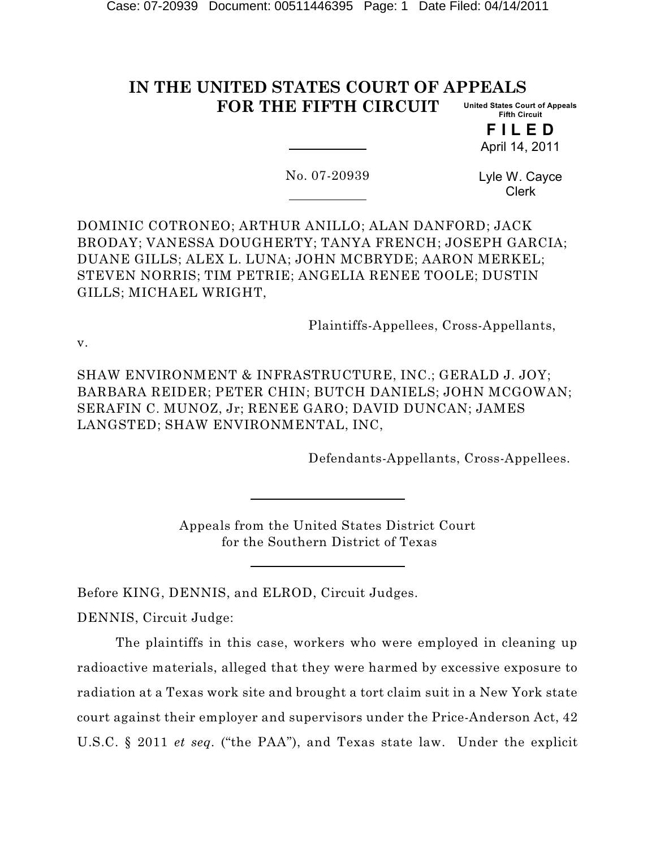#### **IN THE UNITED STATES COURT OF APPEALS FOR THE FIFTH CIRCUIT United States Court of Appeals Fifth Circuit**

**F I L E D** April 14, 2011

No. 07-20939

Lyle W. Cayce Clerk

DOMINIC COTRONEO; ARTHUR ANILLO; ALAN DANFORD; JACK BRODAY; VANESSA DOUGHERTY; TANYA FRENCH; JOSEPH GARCIA; DUANE GILLS; ALEX L. LUNA; JOHN MCBRYDE; AARON MERKEL; STEVEN NORRIS; TIM PETRIE; ANGELIA RENEE TOOLE; DUSTIN GILLS; MICHAEL WRIGHT,

Plaintiffs-Appellees, Cross-Appellants,

v.

SHAW ENVIRONMENT & INFRASTRUCTURE, INC.; GERALD J. JOY; BARBARA REIDER; PETER CHIN; BUTCH DANIELS; JOHN MCGOWAN; SERAFIN C. MUNOZ, Jr; RENEE GARO; DAVID DUNCAN; JAMES LANGSTED; SHAW ENVIRONMENTAL, INC,

Defendants-Appellants, Cross-Appellees.

Appeals from the United States District Court for the Southern District of Texas

Before KING, DENNIS, and ELROD, Circuit Judges.

DENNIS, Circuit Judge:

The plaintiffs in this case, workers who were employed in cleaning up radioactive materials, alleged that they were harmed by excessive exposure to radiation at a Texas work site and brought a tort claim suit in a New York state court against their employer and supervisors under the Price-Anderson Act, 42 U.S.C. § 2011 *et seq.* ("the PAA"), and Texas state law. Under the explicit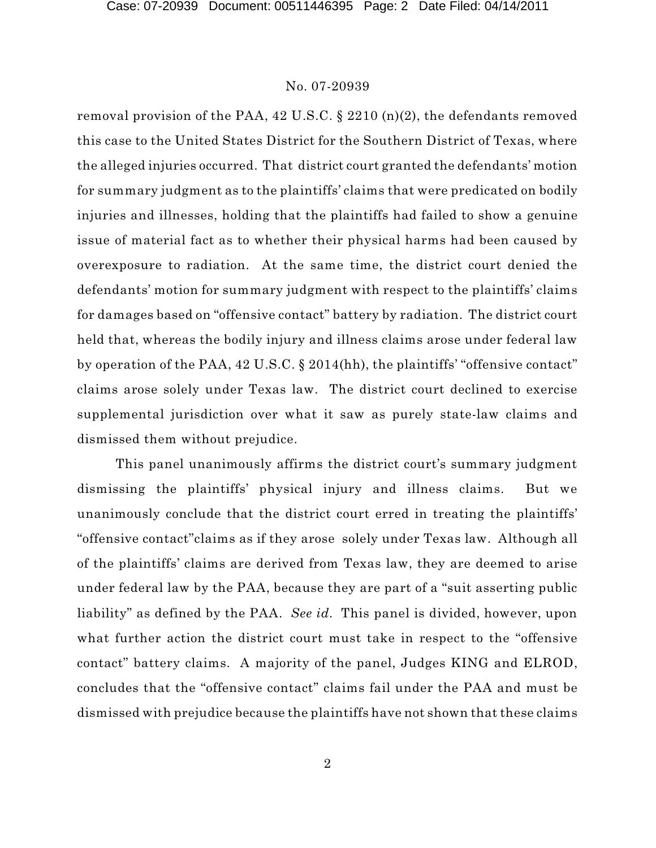removal provision of the PAA, 42 U.S.C. § 2210 (n)(2), the defendants removed this case to the United States District for the Southern District of Texas, where the alleged injuries occurred. That district court granted the defendants' motion for summary judgment as to the plaintiffs' claims that were predicated on bodily injuries and illnesses, holding that the plaintiffs had failed to show a genuine issue of material fact as to whether their physical harms had been caused by overexposure to radiation. At the same time, the district court denied the defendants' motion for summary judgment with respect to the plaintiffs' claims for damages based on "offensive contact" battery by radiation. The district court held that, whereas the bodily injury and illness claims arose under federal law by operation of the PAA, 42 U.S.C. § 2014(hh), the plaintiffs' "offensive contact" claims arose solely under Texas law. The district court declined to exercise supplemental jurisdiction over what it saw as purely state-law claims and dismissed them without prejudice.

This panel unanimously affirms the district court's summary judgment dismissing the plaintiffs' physical injury and illness claims. But we unanimously conclude that the district court erred in treating the plaintiffs' "offensive contact"claims as if they arose solely under Texas law. Although all of the plaintiffs' claims are derived from Texas law, they are deemed to arise under federal law by the PAA, because they are part of a "suit asserting public liability" as defined by the PAA. *See id.* This panel is divided, however, upon what further action the district court must take in respect to the "offensive contact" battery claims. A majority of the panel, Judges KING and ELROD, concludes that the "offensive contact" claims fail under the PAA and must be dismissed with prejudice because the plaintiffs have not shown that these claims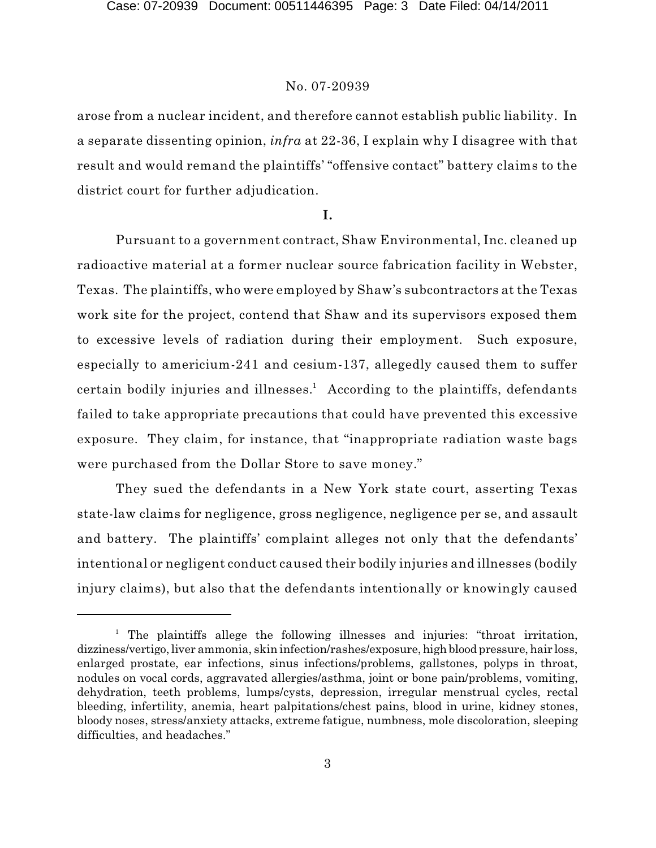arose from a nuclear incident, and therefore cannot establish public liability. In a separate dissenting opinion, *infra* at 22-36, I explain why I disagree with that result and would remand the plaintiffs' "offensive contact" battery claims to the district court for further adjudication.

#### **I.**

Pursuant to a government contract, Shaw Environmental, Inc. cleaned up radioactive material at a former nuclear source fabrication facility in Webster, Texas. The plaintiffs, who were employed by Shaw's subcontractors at the Texas work site for the project, contend that Shaw and its supervisors exposed them to excessive levels of radiation during their employment. Such exposure, especially to americium-241 and cesium-137, allegedly caused them to suffer certain bodily injuries and illnesses.<sup>1</sup> According to the plaintiffs, defendants failed to take appropriate precautions that could have prevented this excessive exposure. They claim, for instance, that "inappropriate radiation waste bags were purchased from the Dollar Store to save money."

They sued the defendants in a New York state court, asserting Texas state-law claims for negligence, gross negligence, negligence per se, and assault and battery. The plaintiffs' complaint alleges not only that the defendants' intentional or negligent conduct caused their bodily injuries and illnesses (bodily injury claims), but also that the defendants intentionally or knowingly caused

 $<sup>1</sup>$  The plaintiffs allege the following illnesses and injuries: "throat irritation,</sup> dizziness/vertigo, liver ammonia, skin infection/rashes/exposure, high blood pressure, hair loss, enlarged prostate, ear infections, sinus infections/problems, gallstones, polyps in throat, nodules on vocal cords, aggravated allergies/asthma, joint or bone pain/problems, vomiting, dehydration, teeth problems, lumps/cysts, depression, irregular menstrual cycles, rectal bleeding, infertility, anemia, heart palpitations/chest pains, blood in urine, kidney stones, bloody noses, stress/anxiety attacks, extreme fatigue, numbness, mole discoloration, sleeping difficulties, and headaches."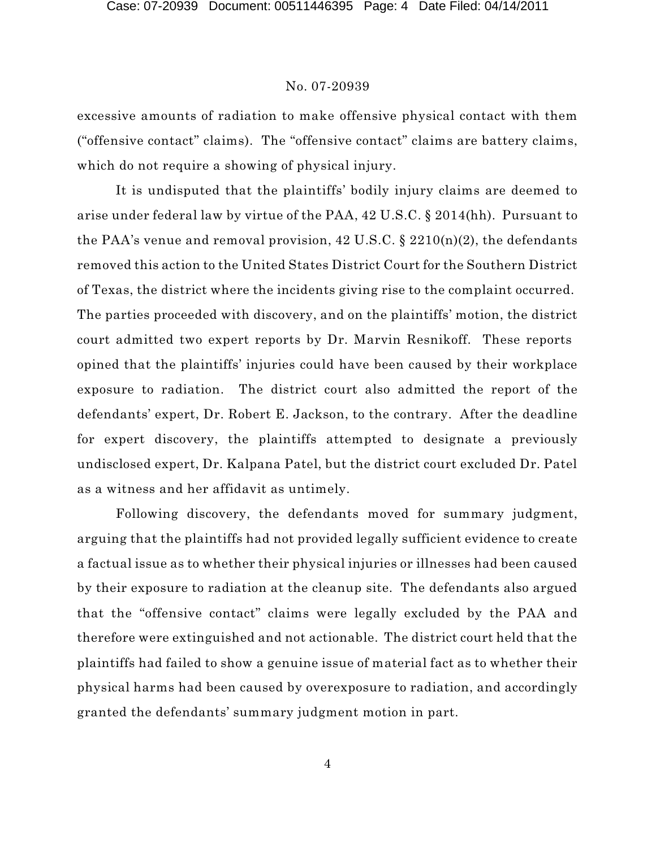excessive amounts of radiation to make offensive physical contact with them ("offensive contact" claims). The "offensive contact" claims are battery claims, which do not require a showing of physical injury.

It is undisputed that the plaintiffs' bodily injury claims are deemed to arise under federal law by virtue of the PAA, 42 U.S.C. § 2014(hh). Pursuant to the PAA's venue and removal provision,  $42 \text{ U.S.C.}$  §  $2210(n)(2)$ , the defendants removed this action to the United States District Court for the Southern District of Texas, the district where the incidents giving rise to the complaint occurred. The parties proceeded with discovery, and on the plaintiffs' motion, the district court admitted two expert reports by Dr. Marvin Resnikoff. These reports opined that the plaintiffs' injuries could have been caused by their workplace exposure to radiation. The district court also admitted the report of the defendants' expert, Dr. Robert E. Jackson, to the contrary. After the deadline for expert discovery, the plaintiffs attempted to designate a previously undisclosed expert, Dr. Kalpana Patel, but the district court excluded Dr. Patel as a witness and her affidavit as untimely.

Following discovery, the defendants moved for summary judgment, arguing that the plaintiffs had not provided legally sufficient evidence to create a factual issue as to whether their physical injuries or illnesses had been caused by their exposure to radiation at the cleanup site. The defendants also argued that the "offensive contact" claims were legally excluded by the PAA and therefore were extinguished and not actionable. The district court held that the plaintiffs had failed to show a genuine issue of material fact as to whether their physical harms had been caused by overexposure to radiation, and accordingly granted the defendants' summary judgment motion in part.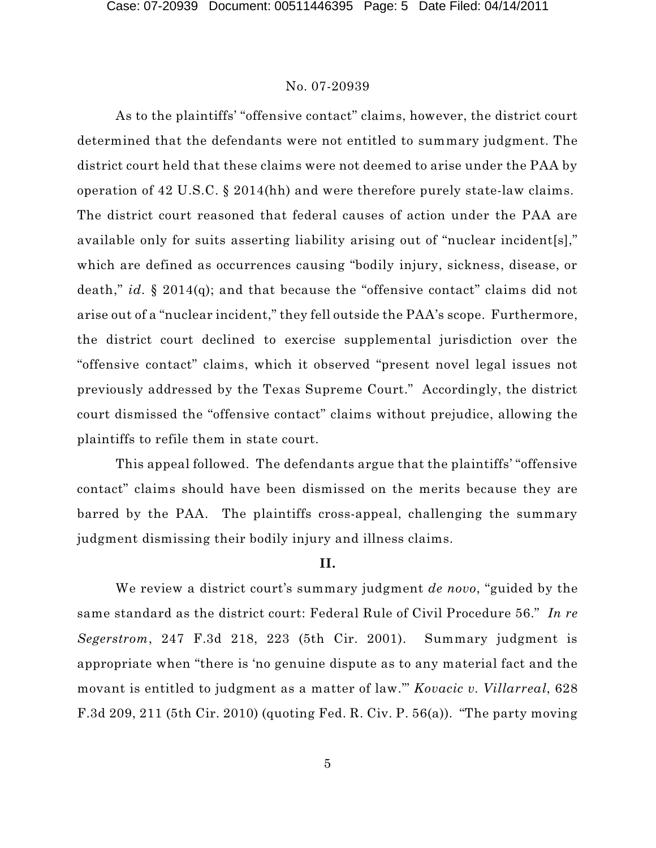As to the plaintiffs' "offensive contact" claims, however, the district court determined that the defendants were not entitled to summary judgment. The district court held that these claims were not deemed to arise under the PAA by operation of 42 U.S.C. § 2014(hh) and were therefore purely state-law claims. The district court reasoned that federal causes of action under the PAA are available only for suits asserting liability arising out of "nuclear incident[s]," which are defined as occurrences causing "bodily injury, sickness, disease, or death," *id.* § 2014(q); and that because the "offensive contact" claims did not arise out of a "nuclear incident," they fell outside the PAA's scope. Furthermore, the district court declined to exercise supplemental jurisdiction over the "offensive contact" claims, which it observed "present novel legal issues not previously addressed by the Texas Supreme Court." Accordingly, the district court dismissed the "offensive contact" claims without prejudice, allowing the plaintiffs to refile them in state court.

This appeal followed. The defendants argue that the plaintiffs' "offensive contact" claims should have been dismissed on the merits because they are barred by the PAA. The plaintiffs cross-appeal, challenging the summary judgment dismissing their bodily injury and illness claims.

# **II.**

We review a district court's summary judgment *de novo*, "guided by the same standard as the district court: Federal Rule of Civil Procedure 56." *In re Segerstrom*, 247 F.3d 218, 223 (5th Cir. 2001). Summary judgment is appropriate when "there is 'no genuine dispute as to any material fact and the movant is entitled to judgment as a matter of law.'" *Kovacic v. Villarreal*, 628 F.3d 209, 211 (5th Cir. 2010) (quoting Fed. R. Civ. P. 56(a)). "The party moving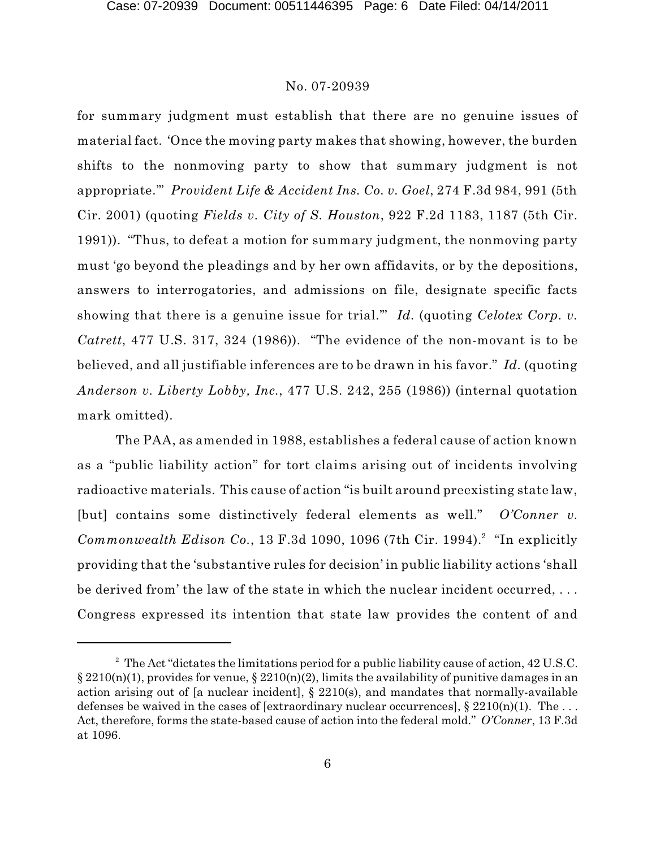for summary judgment must establish that there are no genuine issues of material fact. 'Once the moving party makes that showing, however, the burden shifts to the nonmoving party to show that summary judgment is not appropriate.'" *Provident Life & Accident Ins. Co. v. Goel*, 274 F.3d 984, 991 (5th Cir. 2001) (quoting *Fields v. City of S. Houston*, 922 F.2d 1183, 1187 (5th Cir. 1991)). "Thus, to defeat a motion for summary judgment, the nonmoving party must 'go beyond the pleadings and by her own affidavits, or by the depositions, answers to interrogatories, and admissions on file, designate specific facts showing that there is a genuine issue for trial.'" *Id.* (quoting *Celotex Corp. v. Catrett*, 477 U.S. 317, 324 (1986)). "The evidence of the non-movant is to be believed, and all justifiable inferences are to be drawn in his favor." *Id.* (quoting *Anderson v. Liberty Lobby, Inc.*, 477 U.S. 242, 255 (1986)) (internal quotation mark omitted).

The PAA, as amended in 1988, establishes a federal cause of action known as a "public liability action" for tort claims arising out of incidents involving radioactive materials. This cause of action "is built around preexisting state law, [but] contains some distinctively federal elements as well." *O'Conner v.* Commonwealth Edison Co., 13 F.3d 1090, 1096 (7th Cir. 1994).<sup>2</sup> "In explicitly providing that the 'substantive rules for decision' in public liability actions 'shall be derived from' the law of the state in which the nuclear incident occurred, . . . Congress expressed its intention that state law provides the content of and

 $\degree$  The Act "dictates the limitations period for a public liability cause of action, 42 U.S.C.  $\S 2210(n)(1)$ , provides for venue,  $\S 2210(n)(2)$ , limits the availability of punitive damages in an action arising out of [a nuclear incident],  $\S$  2210(s), and mandates that normally-available defenses be waived in the cases of [extraordinary nuclear occurrences],  $\S 2210(n)(1)$ . The ... Act, therefore, forms the state-based cause of action into the federal mold." *O'Conner*, 13 F.3d at 1096.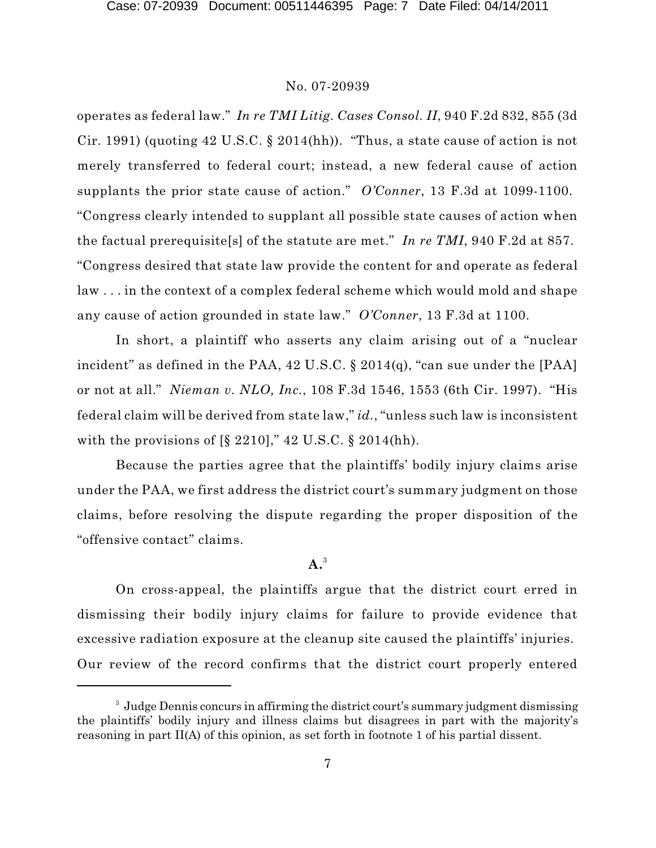operates as federal law." *In re TMI Litig. Cases Consol. II*, 940 F.2d 832, 855 (3d Cir. 1991) (quoting 42 U.S.C. § 2014(hh)). "Thus, a state cause of action is not merely transferred to federal court; instead, a new federal cause of action supplants the prior state cause of action." *O'Conner*, 13 F.3d at 1099-1100. "Congress clearly intended to supplant all possible state causes of action when the factual prerequisite[s] of the statute are met." *In re TMI*, 940 F.2d at 857. "Congress desired that state law provide the content for and operate as federal law . . . in the context of a complex federal scheme which would mold and shape any cause of action grounded in state law." *O'Conner*, 13 F.3d at 1100.

In short, a plaintiff who asserts any claim arising out of a "nuclear incident" as defined in the PAA,  $42$  U.S.C.  $\S 2014(q)$ , "can sue under the [PAA] or not at all." *Nieman v. NLO, Inc.*, 108 F.3d 1546, 1553 (6th Cir. 1997). "His federal claim will be derived from state law," *id.*, "unless such law is inconsistent with the provisions of  $\S$  2210]," 42 U.S.C.  $\S$  2014(hh).

Because the parties agree that the plaintiffs' bodily injury claims arise under the PAA, we first address the district court's summary judgment on those claims, before resolving the dispute regarding the proper disposition of the "offensive contact" claims.

# **A.** 3

On cross-appeal, the plaintiffs argue that the district court erred in dismissing their bodily injury claims for failure to provide evidence that excessive radiation exposure at the cleanup site caused the plaintiffs' injuries. Our review of the record confirms that the district court properly entered

<sup>&</sup>lt;sup>3</sup> Judge Dennis concurs in affirming the district court's summary judgment dismissing the plaintiffs' bodily injury and illness claims but disagrees in part with the majority's reasoning in part II(A) of this opinion, as set forth in footnote 1 of his partial dissent.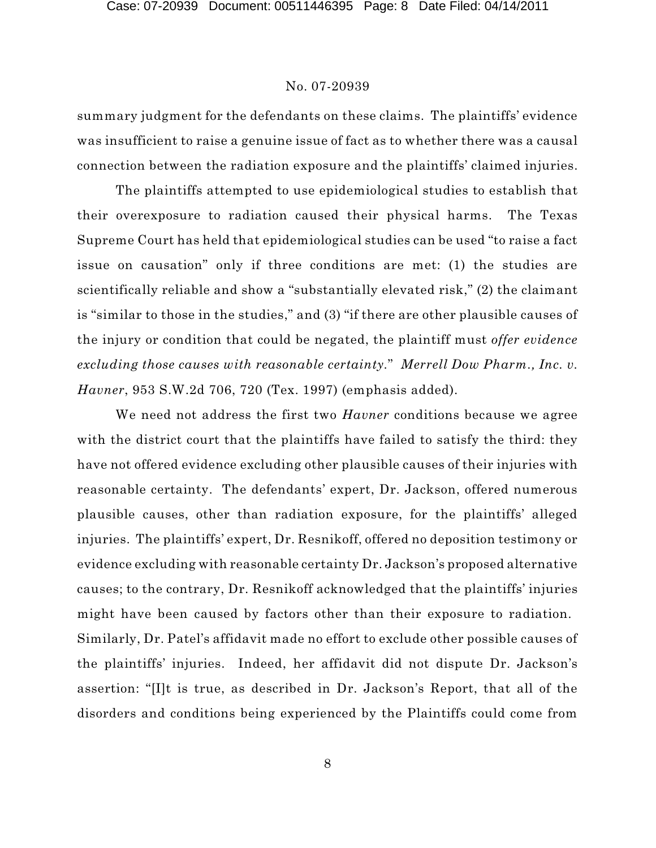summary judgment for the defendants on these claims. The plaintiffs' evidence was insufficient to raise a genuine issue of fact as to whether there was a causal connection between the radiation exposure and the plaintiffs' claimed injuries.

The plaintiffs attempted to use epidemiological studies to establish that their overexposure to radiation caused their physical harms. The Texas Supreme Court has held that epidemiological studies can be used "to raise a fact issue on causation" only if three conditions are met: (1) the studies are scientifically reliable and show a "substantially elevated risk," (2) the claimant is "similar to those in the studies," and (3) "if there are other plausible causes of the injury or condition that could be negated, the plaintiff must *offer evidence excluding those causes with reasonable certainty.*" *Merrell Dow Pharm., Inc. v. Havner*, 953 S.W.2d 706, 720 (Tex. 1997) (emphasis added).

We need not address the first two *Havner* conditions because we agree with the district court that the plaintiffs have failed to satisfy the third: they have not offered evidence excluding other plausible causes of their injuries with reasonable certainty. The defendants' expert, Dr. Jackson, offered numerous plausible causes, other than radiation exposure, for the plaintiffs' alleged injuries. The plaintiffs' expert, Dr. Resnikoff, offered no deposition testimony or evidence excluding with reasonable certainty Dr. Jackson's proposed alternative causes; to the contrary, Dr. Resnikoff acknowledged that the plaintiffs' injuries might have been caused by factors other than their exposure to radiation. Similarly, Dr. Patel's affidavit made no effort to exclude other possible causes of the plaintiffs' injuries. Indeed, her affidavit did not dispute Dr. Jackson's assertion: "[I]t is true, as described in Dr. Jackson's Report, that all of the disorders and conditions being experienced by the Plaintiffs could come from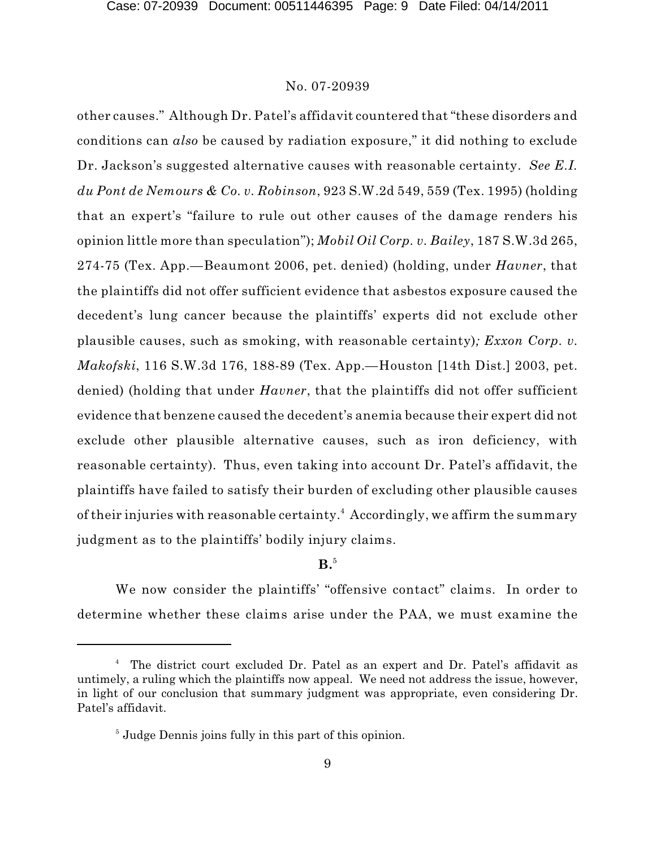other causes." Although Dr. Patel's affidavit countered that "these disorders and conditions can *also* be caused by radiation exposure," it did nothing to exclude Dr. Jackson's suggested alternative causes with reasonable certainty. *See E.I. du Pont de Nemours & Co. v. Robinson*, 923 S.W.2d 549, 559 (Tex. 1995) (holding that an expert's "failure to rule out other causes of the damage renders his opinion little more than speculation"); *Mobil Oil Corp. v. Bailey*, 187 S.W.3d 265, 274-75 (Tex. App.—Beaumont 2006, pet. denied) (holding, under *Havner*, that the plaintiffs did not offer sufficient evidence that asbestos exposure caused the decedent's lung cancer because the plaintiffs' experts did not exclude other plausible causes, such as smoking, with reasonable certainty)*; Exxon Corp. v. Makofski*, 116 S.W.3d 176, 188-89 (Tex. App.—Houston [14th Dist.] 2003, pet. denied) (holding that under *Havner*, that the plaintiffs did not offer sufficient evidence that benzene caused the decedent's anemia because their expert did not exclude other plausible alternative causes, such as iron deficiency, with reasonable certainty). Thus, even taking into account Dr. Patel's affidavit, the plaintiffs have failed to satisfy their burden of excluding other plausible causes of their injuries with reasonable certainty. $^{\rm 4}$  Accordingly, we affirm the summary judgment as to the plaintiffs' bodily injury claims.

# **B.** 5

We now consider the plaintiffs' "offensive contact" claims. In order to determine whether these claims arise under the PAA, we must examine the

<sup>&</sup>lt;sup>4</sup> The district court excluded Dr. Patel as an expert and Dr. Patel's affidavit as untimely, a ruling which the plaintiffs now appeal. We need not address the issue, however, in light of our conclusion that summary judgment was appropriate, even considering Dr. Patel's affidavit.

 $<sup>5</sup>$  Judge Dennis joins fully in this part of this opinion.</sup>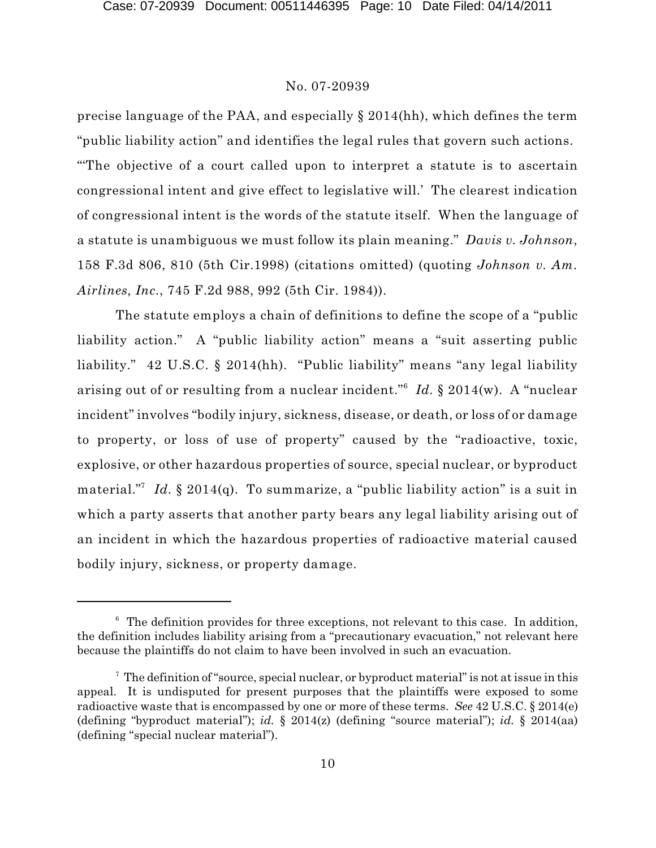precise language of the PAA, and especially § 2014(hh), which defines the term "public liability action" and identifies the legal rules that govern such actions. "'The objective of a court called upon to interpret a statute is to ascertain congressional intent and give effect to legislative will.' The clearest indication of congressional intent is the words of the statute itself. When the language of a statute is unambiguous we must follow its plain meaning." *Davis v. Johnson*, 158 F.3d 806, 810 (5th Cir.1998) (citations omitted) (quoting *Johnson v. Am. Airlines, Inc.*, 745 F.2d 988, 992 (5th Cir. 1984)).

The statute employs a chain of definitions to define the scope of a "public liability action." A "public liability action" means a "suit asserting public liability." 42 U.S.C. § 2014(hh). "Public liability" means "any legal liability arising out of or resulting from a nuclear incident."<sup>6</sup> Id. § 2014(w). A "nuclear incident" involves "bodily injury, sickness, disease, or death, or loss of or damage to property, or loss of use of property" caused by the "radioactive, toxic, explosive, or other hazardous properties of source, special nuclear, or byproduct material."<sup>7</sup> Id. § 2014(q). To summarize, a "public liability action" is a suit in which a party asserts that another party bears any legal liability arising out of an incident in which the hazardous properties of radioactive material caused bodily injury, sickness, or property damage.

 $6$  The definition provides for three exceptions, not relevant to this case. In addition, the definition includes liability arising from a "precautionary evacuation," not relevant here because the plaintiffs do not claim to have been involved in such an evacuation.

 $\frac{7}{7}$  The definition of "source, special nuclear, or byproduct material" is not at issue in this appeal. It is undisputed for present purposes that the plaintiffs were exposed to some radioactive waste that is encompassed by one or more of these terms. *See* 42 U.S.C. § 2014(e) (defining "byproduct material"); *id.* § 2014(z) (defining "source material"); *id.* § 2014(aa) (defining "special nuclear material").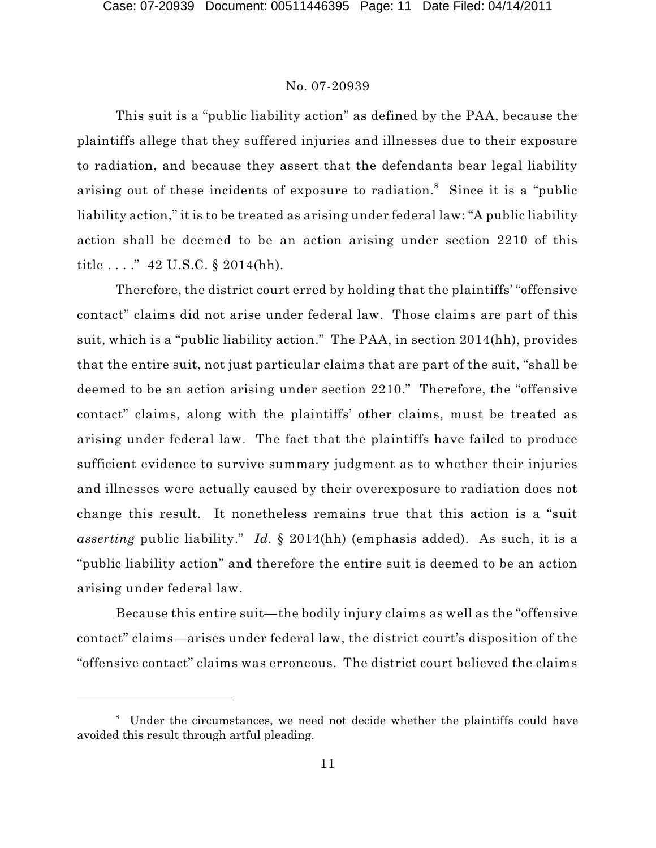This suit is a "public liability action" as defined by the PAA, because the plaintiffs allege that they suffered injuries and illnesses due to their exposure to radiation, and because they assert that the defendants bear legal liability arising out of these incidents of exposure to radiation.<sup>8</sup> Since it is a "public liability action," it is to be treated as arising under federal law: "A public liability action shall be deemed to be an action arising under section 2210 of this title . . . ." 42 U.S.C. § 2014(hh).

Therefore, the district court erred by holding that the plaintiffs' "offensive contact" claims did not arise under federal law. Those claims are part of this suit, which is a "public liability action." The PAA, in section 2014(hh), provides that the entire suit, not just particular claims that are part of the suit, "shall be deemed to be an action arising under section 2210." Therefore, the "offensive contact" claims, along with the plaintiffs' other claims, must be treated as arising under federal law. The fact that the plaintiffs have failed to produce sufficient evidence to survive summary judgment as to whether their injuries and illnesses were actually caused by their overexposure to radiation does not change this result. It nonetheless remains true that this action is a "suit *asserting* public liability." *Id.* § 2014(hh) (emphasis added). As such, it is a "public liability action" and therefore the entire suit is deemed to be an action arising under federal law.

Because this entire suit—the bodily injury claims as well as the "offensive contact" claims—arises under federal law, the district court's disposition of the "offensive contact" claims was erroneous. The district court believed the claims

<sup>&</sup>lt;sup>8</sup> Under the circumstances, we need not decide whether the plaintiffs could have avoided this result through artful pleading.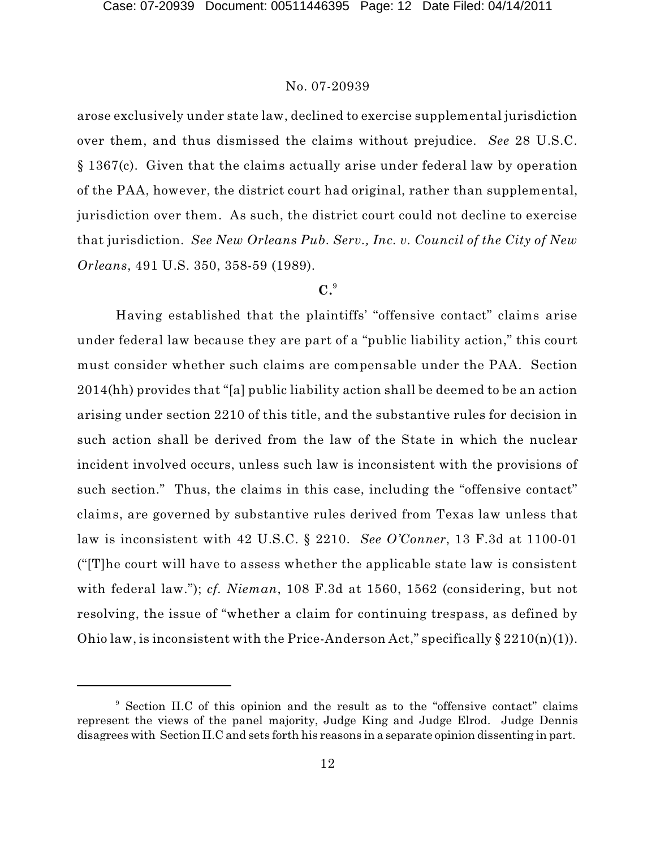arose exclusively under state law, declined to exercise supplemental jurisdiction over them, and thus dismissed the claims without prejudice. *See* 28 U.S.C. § 1367(c). Given that the claims actually arise under federal law by operation of the PAA, however, the district court had original, rather than supplemental, jurisdiction over them. As such, the district court could not decline to exercise that jurisdiction. *See New Orleans Pub. Serv., Inc. v. Council of the City of New Orleans*, 491 U.S. 350, 358-59 (1989).

# **C.** 9

Having established that the plaintiffs' "offensive contact" claims arise under federal law because they are part of a "public liability action," this court must consider whether such claims are compensable under the PAA. Section 2014(hh) provides that "[a] public liability action shall be deemed to be an action arising under section 2210 of this title, and the substantive rules for decision in such action shall be derived from the law of the State in which the nuclear incident involved occurs, unless such law is inconsistent with the provisions of such section." Thus, the claims in this case, including the "offensive contact" claims, are governed by substantive rules derived from Texas law unless that law is inconsistent with 42 U.S.C. § 2210. *See O'Conner*, 13 F.3d at 1100-01 ("[T]he court will have to assess whether the applicable state law is consistent with federal law."); *cf. Nieman*, 108 F.3d at 1560, 1562 (considering, but not resolving, the issue of "whether a claim for continuing trespass, as defined by Ohio law, is inconsistent with the Price-Anderson Act," specifically  $\S 2210(n)(1)$ .

<sup>&</sup>lt;sup>9</sup> Section II.C of this opinion and the result as to the "offensive contact" claims represent the views of the panel majority, Judge King and Judge Elrod. Judge Dennis disagrees with Section II.C and sets forth his reasons in a separate opinion dissenting in part.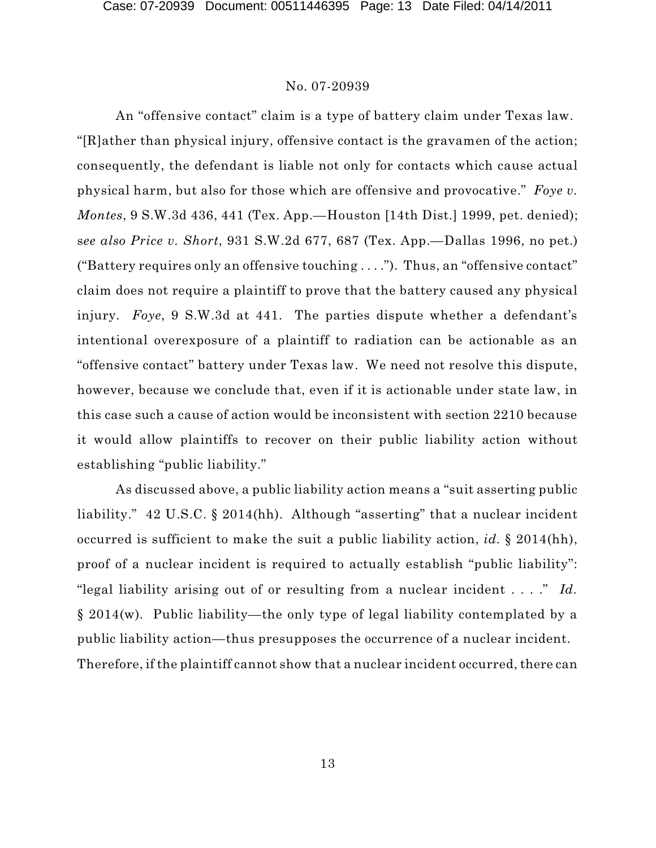An "offensive contact" claim is a type of battery claim under Texas law. "[R]ather than physical injury, offensive contact is the gravamen of the action; consequently, the defendant is liable not only for contacts which cause actual physical harm, but also for those which are offensive and provocative." *Foye v. Montes*, 9 S.W.3d 436, 441 (Tex. App.—Houston [14th Dist.] 1999, pet. denied); s*ee also Price v. Short*, 931 S.W.2d 677, 687 (Tex. App.—Dallas 1996, no pet.) ("Battery requires only an offensive touching . . . ."). Thus, an "offensive contact" claim does not require a plaintiff to prove that the battery caused any physical injury. *Foye*, 9 S.W.3d at 441. The parties dispute whether a defendant's intentional overexposure of a plaintiff to radiation can be actionable as an "offensive contact" battery under Texas law. We need not resolve this dispute, however, because we conclude that, even if it is actionable under state law, in this case such a cause of action would be inconsistent with section 2210 because it would allow plaintiffs to recover on their public liability action without establishing "public liability."

As discussed above, a public liability action means a "suit asserting public liability." 42 U.S.C. § 2014(hh). Although "asserting" that a nuclear incident occurred is sufficient to make the suit a public liability action, *id.* § 2014(hh), proof of a nuclear incident is required to actually establish "public liability": "legal liability arising out of or resulting from a nuclear incident . . . ." *Id.* § 2014(w). Public liability—the only type of legal liability contemplated by a public liability action—thus presupposes the occurrence of a nuclear incident. Therefore, if the plaintiff cannot show that a nuclear incident occurred, there can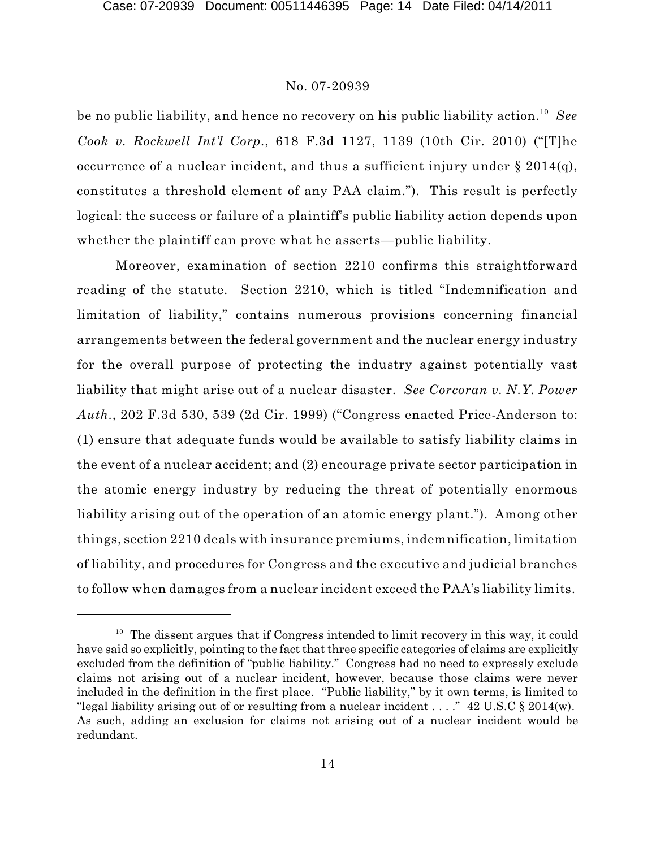be no public liability, and hence no recovery on his public liability action. *See* 10 *Cook v. Rockwell Int'l Corp.*, 618 F.3d 1127, 1139 (10th Cir. 2010) ("[T]he occurrence of a nuclear incident, and thus a sufficient injury under § 2014(q), constitutes a threshold element of any PAA claim."). This result is perfectly logical: the success or failure of a plaintiff's public liability action depends upon whether the plaintiff can prove what he asserts—public liability.

Moreover, examination of section 2210 confirms this straightforward reading of the statute. Section 2210, which is titled "Indemnification and limitation of liability," contains numerous provisions concerning financial arrangements between the federal government and the nuclear energy industry for the overall purpose of protecting the industry against potentially vast liability that might arise out of a nuclear disaster. *See Corcoran v. N.Y. Power Auth.*, 202 F.3d 530, 539 (2d Cir. 1999) ("Congress enacted Price-Anderson to: (1) ensure that adequate funds would be available to satisfy liability claims in the event of a nuclear accident; and (2) encourage private sector participation in the atomic energy industry by reducing the threat of potentially enormous liability arising out of the operation of an atomic energy plant."). Among other things, section 2210 deals with insurance premiums, indemnification, limitation of liability, and procedures for Congress and the executive and judicial branches to follow when damages from a nuclear incident exceed the PAA's liability limits.

 $10$  The dissent argues that if Congress intended to limit recovery in this way, it could have said so explicitly, pointing to the fact that three specific categories of claims are explicitly excluded from the definition of "public liability." Congress had no need to expressly exclude claims not arising out of a nuclear incident, however, because those claims were never included in the definition in the first place. "Public liability," by it own terms, is limited to "legal liability arising out of or resulting from a nuclear incident . . . ." 42 U.S.C § 2014(w). As such, adding an exclusion for claims not arising out of a nuclear incident would be redundant.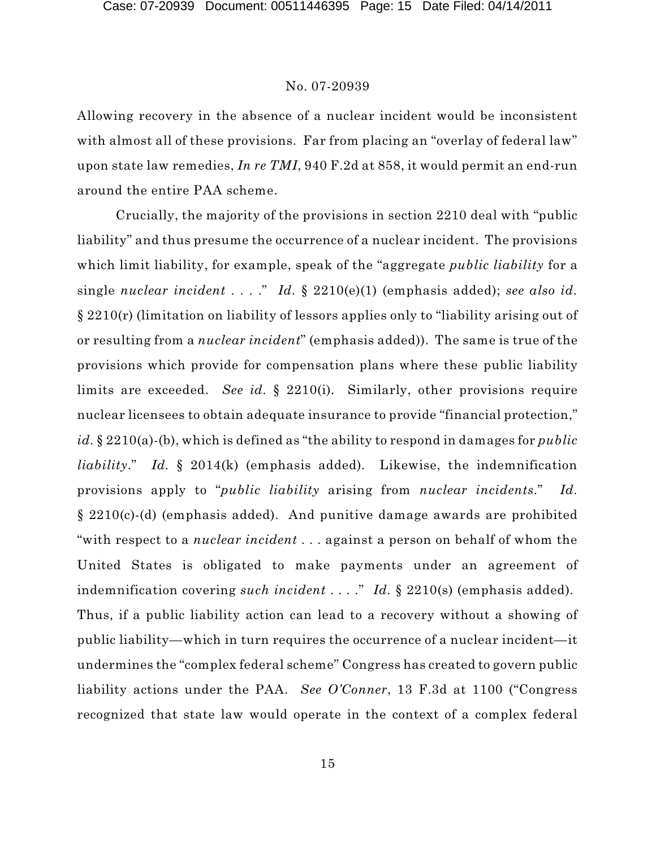Allowing recovery in the absence of a nuclear incident would be inconsistent with almost all of these provisions. Far from placing an "overlay of federal law" upon state law remedies, *In re TMI*, 940 F.2d at 858, it would permit an end-run around the entire PAA scheme.

Crucially, the majority of the provisions in section 2210 deal with "public liability" and thus presume the occurrence of a nuclear incident. The provisions which limit liability, for example, speak of the "aggregate *public liability* for a single *nuclear incident* . . . ." *Id.* § 2210(e)(1) (emphasis added); *see also id.* § 2210(r) (limitation on liability of lessors applies only to "liability arising out of or resulting from a *nuclear incident*" (emphasis added)). The same is true of the provisions which provide for compensation plans where these public liability limits are exceeded. *See id.* § 2210(i). Similarly, other provisions require nuclear licensees to obtain adequate insurance to provide "financial protection," *id.* § 2210(a)-(b), which is defined as "the ability to respond in damages for *public liability*." *Id.* § 2014(k) (emphasis added). Likewise, the indemnification provisions apply to "*public liability* arising from *nuclear incidents*." *Id.* § 2210(c)-(d) (emphasis added). And punitive damage awards are prohibited "with respect to a *nuclear incident* . . . against a person on behalf of whom the United States is obligated to make payments under an agreement of indemnification covering *such incident* . . . ." *Id.* § 2210(s) (emphasis added). Thus, if a public liability action can lead to a recovery without a showing of public liability—which in turn requires the occurrence of a nuclear incident—it undermines the "complex federal scheme" Congress has created to govern public liability actions under the PAA. *See O'Conner*, 13 F.3d at 1100 ("Congress recognized that state law would operate in the context of a complex federal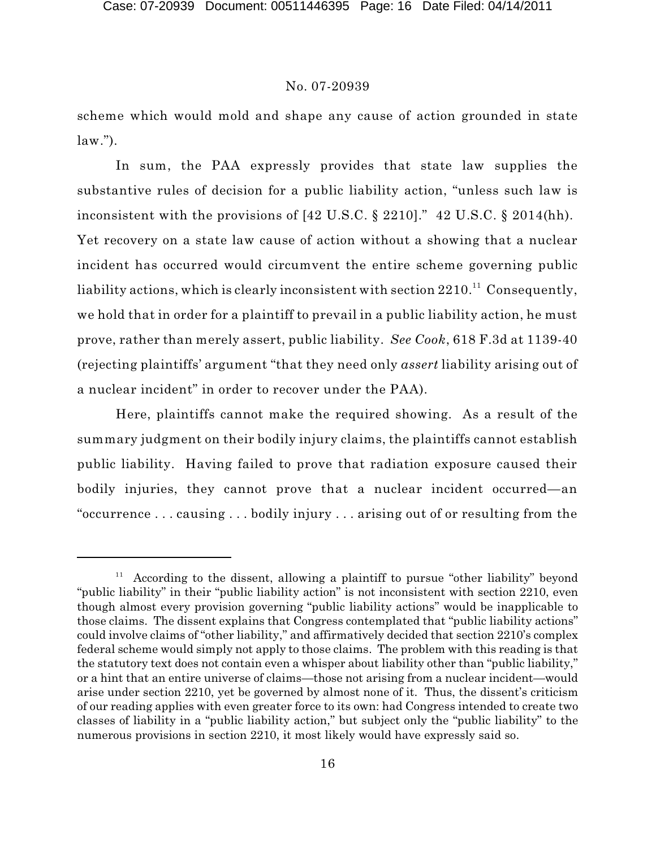scheme which would mold and shape any cause of action grounded in state  $law.'$ ).

In sum, the PAA expressly provides that state law supplies the substantive rules of decision for a public liability action, "unless such law is inconsistent with the provisions of [42 U.S.C. § 2210]." 42 U.S.C. § 2014(hh). Yet recovery on a state law cause of action without a showing that a nuclear incident has occurred would circumvent the entire scheme governing public liability actions, which is clearly inconsistent with section  $2210.^{\rm 11}$  Consequently, we hold that in order for a plaintiff to prevail in a public liability action, he must prove, rather than merely assert, public liability. *See Cook*, 618 F.3d at 1139-40 (rejecting plaintiffs' argument "that they need only *assert* liability arising out of a nuclear incident" in order to recover under the PAA).

Here, plaintiffs cannot make the required showing. As a result of the summary judgment on their bodily injury claims, the plaintiffs cannot establish public liability. Having failed to prove that radiation exposure caused their bodily injuries, they cannot prove that a nuclear incident occurred—an "occurrence . . . causing . . . bodily injury . . . arising out of or resulting from the

 $11$  According to the dissent, allowing a plaintiff to pursue "other liability" beyond "public liability" in their "public liability action" is not inconsistent with section 2210, even though almost every provision governing "public liability actions" would be inapplicable to those claims. The dissent explains that Congress contemplated that "public liability actions" could involve claims of "other liability," and affirmatively decided that section 2210's complex federal scheme would simply not apply to those claims. The problem with this reading is that the statutory text does not contain even a whisper about liability other than "public liability," or a hint that an entire universe of claims—those not arising from a nuclear incident—would arise under section 2210, yet be governed by almost none of it. Thus, the dissent's criticism of our reading applies with even greater force to its own: had Congress intended to create two classes of liability in a "public liability action," but subject only the "public liability" to the numerous provisions in section 2210, it most likely would have expressly said so.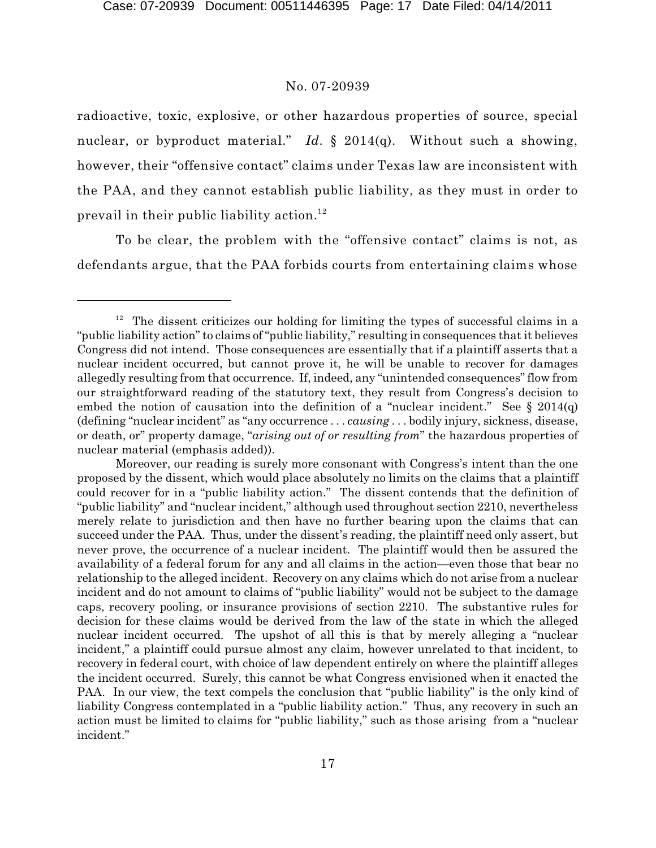radioactive, toxic, explosive, or other hazardous properties of source, special nuclear, or byproduct material." *Id.* § 2014(q). Without such a showing, however, their "offensive contact" claims under Texas law are inconsistent with the PAA, and they cannot establish public liability, as they must in order to prevail in their public liability action. 12

To be clear, the problem with the "offensive contact" claims is not, as defendants argue, that the PAA forbids courts from entertaining claims whose

 $12$  The dissent criticizes our holding for limiting the types of successful claims in a "public liability action" to claims of "public liability," resulting in consequences that it believes Congress did not intend. Those consequences are essentially that if a plaintiff asserts that a nuclear incident occurred, but cannot prove it, he will be unable to recover for damages allegedly resulting from that occurrence. If, indeed, any "unintended consequences" flow from our straightforward reading of the statutory text, they result from Congress's decision to embed the notion of causation into the definition of a "nuclear incident." See  $\S 2014(q)$ (defining "nuclear incident" as "any occurrence . . . *causing* . . . bodily injury, sickness, disease, or death, or" property damage, "*arising out of or resulting from*" the hazardous properties of nuclear material (emphasis added)).

Moreover, our reading is surely more consonant with Congress's intent than the one proposed by the dissent, which would place absolutely no limits on the claims that a plaintiff could recover for in a "public liability action." The dissent contends that the definition of "public liability" and "nuclear incident," although used throughout section 2210, nevertheless merely relate to jurisdiction and then have no further bearing upon the claims that can succeed under the PAA. Thus, under the dissent's reading, the plaintiff need only assert, but never prove, the occurrence of a nuclear incident. The plaintiff would then be assured the availability of a federal forum for any and all claims in the action—even those that bear no relationship to the alleged incident. Recovery on any claims which do not arise from a nuclear incident and do not amount to claims of "public liability" would not be subject to the damage caps, recovery pooling, or insurance provisions of section 2210. The substantive rules for decision for these claims would be derived from the law of the state in which the alleged nuclear incident occurred. The upshot of all this is that by merely alleging a "nuclear incident," a plaintiff could pursue almost any claim, however unrelated to that incident, to recovery in federal court, with choice of law dependent entirely on where the plaintiff alleges the incident occurred. Surely, this cannot be what Congress envisioned when it enacted the PAA. In our view, the text compels the conclusion that "public liability" is the only kind of liability Congress contemplated in a "public liability action." Thus, any recovery in such an action must be limited to claims for "public liability," such as those arising from a "nuclear incident."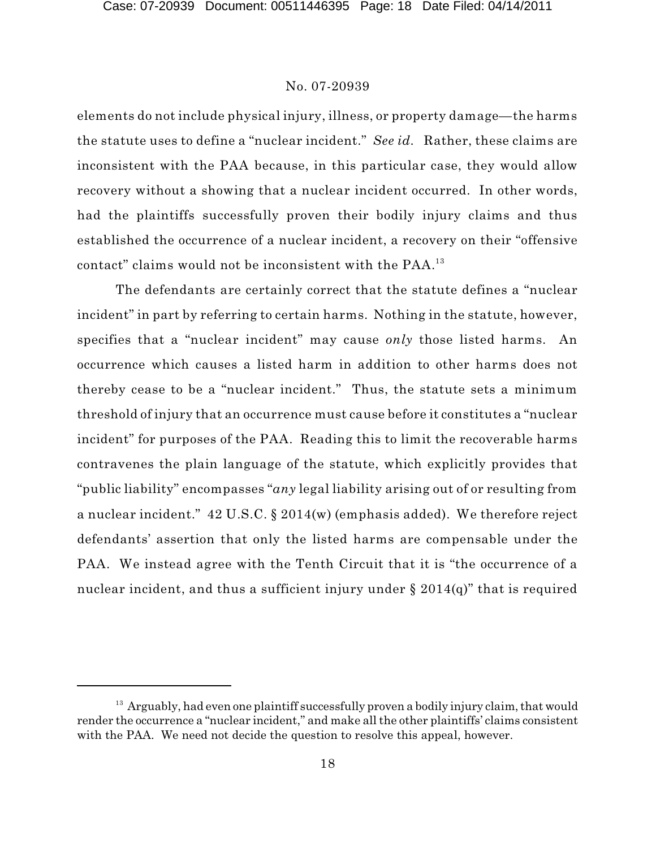elements do not include physical injury, illness, or property damage—the harms the statute uses to define a "nuclear incident." *See id.* Rather, these claims are inconsistent with the PAA because, in this particular case, they would allow recovery without a showing that a nuclear incident occurred. In other words, had the plaintiffs successfully proven their bodily injury claims and thus established the occurrence of a nuclear incident, a recovery on their "offensive contact" claims would not be inconsistent with the PAA. 13

The defendants are certainly correct that the statute defines a "nuclear incident" in part by referring to certain harms. Nothing in the statute, however, specifies that a "nuclear incident" may cause *only* those listed harms. An occurrence which causes a listed harm in addition to other harms does not thereby cease to be a "nuclear incident." Thus, the statute sets a minimum threshold of injury that an occurrence must cause before it constitutes a "nuclear incident" for purposes of the PAA. Reading this to limit the recoverable harms contravenes the plain language of the statute, which explicitly provides that "public liability" encompasses "*any* legal liability arising out of or resulting from a nuclear incident." 42 U.S.C. § 2014(w) (emphasis added). We therefore reject defendants' assertion that only the listed harms are compensable under the PAA. We instead agree with the Tenth Circuit that it is "the occurrence of a nuclear incident, and thus a sufficient injury under  $\S 2014(q)$ " that is required

 $13$  Arguably, had even one plaintiff successfully proven a bodily injury claim, that would render the occurrence a "nuclear incident," and make all the other plaintiffs' claims consistent with the PAA. We need not decide the question to resolve this appeal, however.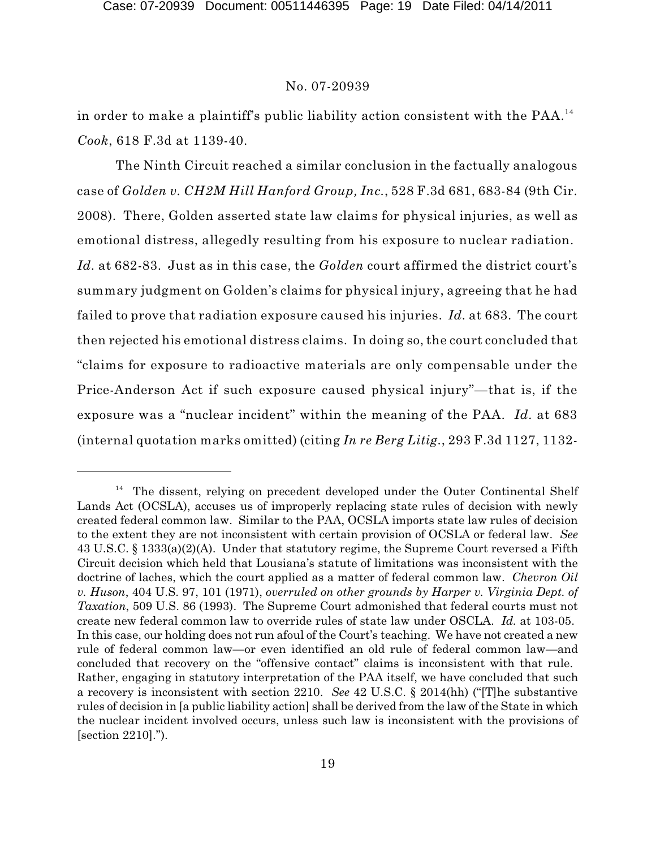in order to make a plaintiff's public liability action consistent with the PAA. 14 *Cook*, 618 F.3d at 1139-40.

The Ninth Circuit reached a similar conclusion in the factually analogous case of *Golden v. CH2M Hill Hanford Group, Inc.*, 528 F.3d 681, 683-84 (9th Cir. 2008). There, Golden asserted state law claims for physical injuries, as well as emotional distress, allegedly resulting from his exposure to nuclear radiation. *Id.* at 682-83. Just as in this case, the *Golden* court affirmed the district court's summary judgment on Golden's claims for physical injury, agreeing that he had failed to prove that radiation exposure caused his injuries. *Id.* at 683. The court then rejected his emotional distress claims. In doing so, the court concluded that "claims for exposure to radioactive materials are only compensable under the Price-Anderson Act if such exposure caused physical injury"—that is, if the exposure was a "nuclear incident" within the meaning of the PAA. *Id.* at 683 (internal quotation marks omitted) (citing *In re Berg Litig.*, 293 F.3d 1127, 1132-

<sup>&</sup>lt;sup>14</sup> The dissent, relying on precedent developed under the Outer Continental Shelf Lands Act (OCSLA), accuses us of improperly replacing state rules of decision with newly created federal common law. Similar to the PAA, OCSLA imports state law rules of decision to the extent they are not inconsistent with certain provision of OCSLA or federal law. *See* 43 U.S.C. § 1333(a)(2)(A). Under that statutory regime, the Supreme Court reversed a Fifth Circuit decision which held that Lousiana's statute of limitations was inconsistent with the doctrine of laches, which the court applied as a matter of federal common law. *Chevron Oil v. Huson*, 404 U.S. 97, 101 (1971), *overruled on other grounds by Harper v. Virginia Dept. of Taxation*, 509 U.S. 86 (1993). The Supreme Court admonished that federal courts must not create new federal common law to override rules of state law under OSCLA. *Id.* at 103-05. In this case, our holding does not run afoul of the Court's teaching. We have not created a new rule of federal common law—or even identified an old rule of federal common law—and concluded that recovery on the "offensive contact" claims is inconsistent with that rule. Rather, engaging in statutory interpretation of the PAA itself, we have concluded that such a recovery is inconsistent with section 2210. *See* 42 U.S.C. § 2014(hh) ("[T]he substantive rules of decision in [a public liability action] shall be derived from the law of the State in which the nuclear incident involved occurs, unless such law is inconsistent with the provisions of [section 2210].").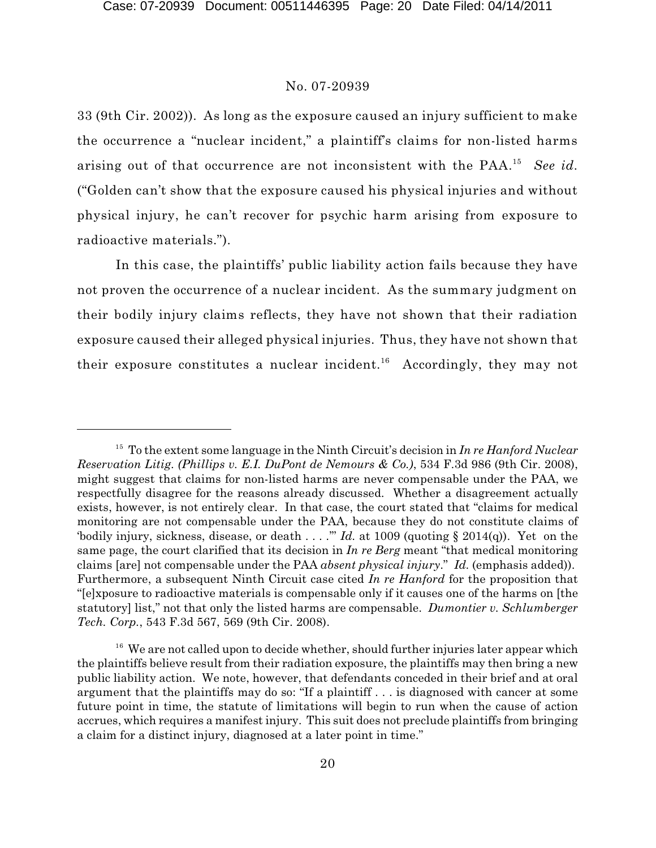33 (9th Cir. 2002)). As long as the exposure caused an injury sufficient to make the occurrence a "nuclear incident," a plaintiff's claims for non-listed harms arising out of that occurrence are not inconsistent with the PAA.<sup>15</sup> See id. ("Golden can't show that the exposure caused his physical injuries and without physical injury, he can't recover for psychic harm arising from exposure to radioactive materials.").

In this case, the plaintiffs' public liability action fails because they have not proven the occurrence of a nuclear incident. As the summary judgment on their bodily injury claims reflects, they have not shown that their radiation exposure caused their alleged physical injuries. Thus, they have not shown that their exposure constitutes a nuclear incident.<sup>16</sup> Accordingly, they may not

<sup>&</sup>lt;sup>15</sup> To the extent some language in the Ninth Circuit's decision in *In re Hanford Nuclear Reservation Litig. (Phillips v. E.I. DuPont de Nemours & Co.)*, 534 F.3d 986 (9th Cir. 2008), might suggest that claims for non-listed harms are never compensable under the PAA, we respectfully disagree for the reasons already discussed. Whether a disagreement actually exists, however, is not entirely clear. In that case, the court stated that "claims for medical monitoring are not compensable under the PAA, because they do not constitute claims of 'bodily injury, sickness, disease, or death . . . . "" *Id.* at 1009 (quoting  $\S$  2014(q)). Yet on the same page, the court clarified that its decision in *In re Berg* meant "that medical monitoring claims [are] not compensable under the PAA *absent physical injury*." *Id.* (emphasis added)). Furthermore, a subsequent Ninth Circuit case cited *In re Hanford* for the proposition that "[e]xposure to radioactive materials is compensable only if it causes one of the harms on [the statutory] list," not that only the listed harms are compensable. *Dumontier v. Schlumberger Tech. Corp.*, 543 F.3d 567, 569 (9th Cir. 2008).

 $16$  We are not called upon to decide whether, should further injuries later appear which the plaintiffs believe result from their radiation exposure, the plaintiffs may then bring a new public liability action. We note, however, that defendants conceded in their brief and at oral argument that the plaintiffs may do so: "If a plaintiff . . . is diagnosed with cancer at some future point in time, the statute of limitations will begin to run when the cause of action accrues, which requires a manifest injury. This suit does not preclude plaintiffs from bringing a claim for a distinct injury, diagnosed at a later point in time."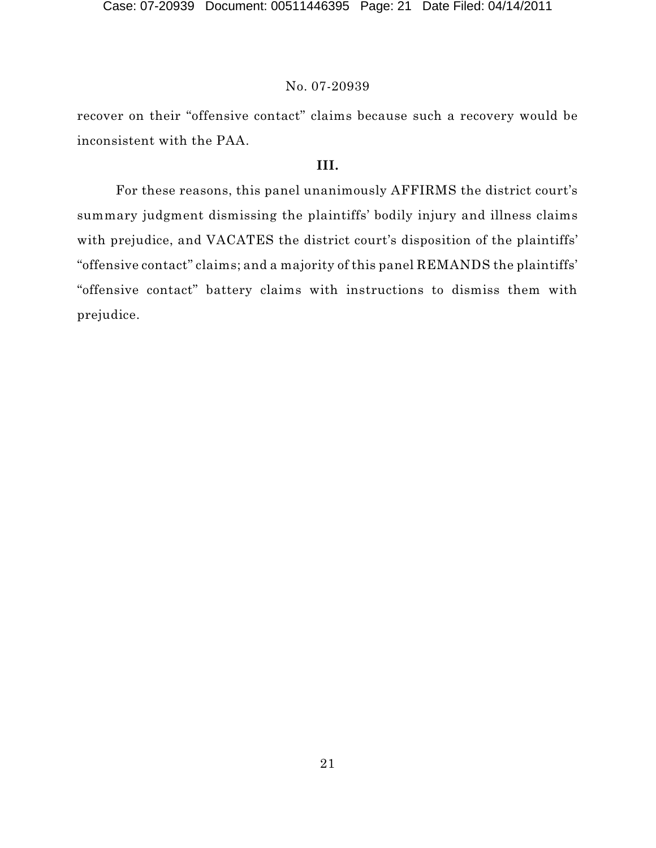recover on their "offensive contact" claims because such a recovery would be inconsistent with the PAA.

# **III.**

For these reasons, this panel unanimously AFFIRMS the district court's summary judgment dismissing the plaintiffs' bodily injury and illness claims with prejudice, and VACATES the district court's disposition of the plaintiffs' "offensive contact" claims; and a majority of this panel REMANDS the plaintiffs' "offensive contact" battery claims with instructions to dismiss them with prejudice.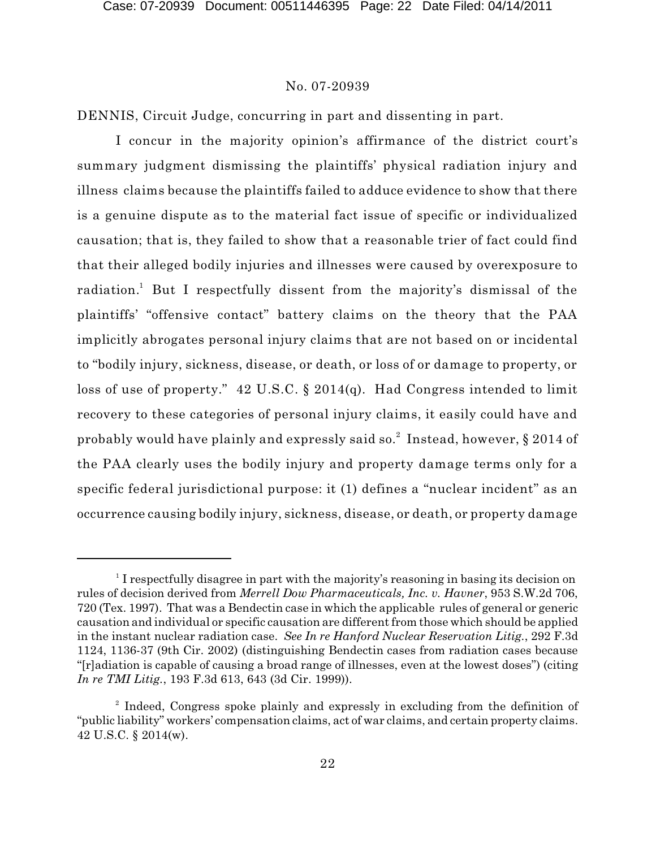DENNIS, Circuit Judge, concurring in part and dissenting in part.

I concur in the majority opinion's affirmance of the district court's summary judgment dismissing the plaintiffs' physical radiation injury and illness claims because the plaintiffs failed to adduce evidence to show that there is a genuine dispute as to the material fact issue of specific or individualized causation; that is, they failed to show that a reasonable trier of fact could find that their alleged bodily injuries and illnesses were caused by overexposure to radiation.<sup>1</sup> But I respectfully dissent from the majority's dismissal of the plaintiffs' "offensive contact" battery claims on the theory that the PAA implicitly abrogates personal injury claims that are not based on or incidental to "bodily injury, sickness, disease, or death, or loss of or damage to property, or loss of use of property." 42 U.S.C. § 2014(q). Had Congress intended to limit recovery to these categories of personal injury claims, it easily could have and probably would have plainly and expressly said so. $^2$  Instead, however, § 2014 of the PAA clearly uses the bodily injury and property damage terms only for a specific federal jurisdictional purpose: it (1) defines a "nuclear incident" as an occurrence causing bodily injury, sickness, disease, or death, or property damage

 $1$  I respectfully disagree in part with the majority's reasoning in basing its decision on rules of decision derived from *Merrell Dow Pharmaceuticals, Inc. v. Havner*, 953 S.W.2d 706, 720 (Tex. 1997). That was a Bendectin case in which the applicable rules of general or generic causation and individual or specific causation are different from those which should be applied in the instant nuclear radiation case. *See In re Hanford Nuclear Reservation Litig.*, 292 F.3d 1124, 1136-37 (9th Cir. 2002) (distinguishing Bendectin cases from radiation cases because "[r]adiation is capable of causing a broad range of illnesses, even at the lowest doses") (citing *In re TMI Litig.*, 193 F.3d 613, 643 (3d Cir. 1999)).

 $2$  Indeed, Congress spoke plainly and expressly in excluding from the definition of "public liability" workers' compensation claims, act of war claims, and certain property claims. 42 U.S.C. § 2014(w).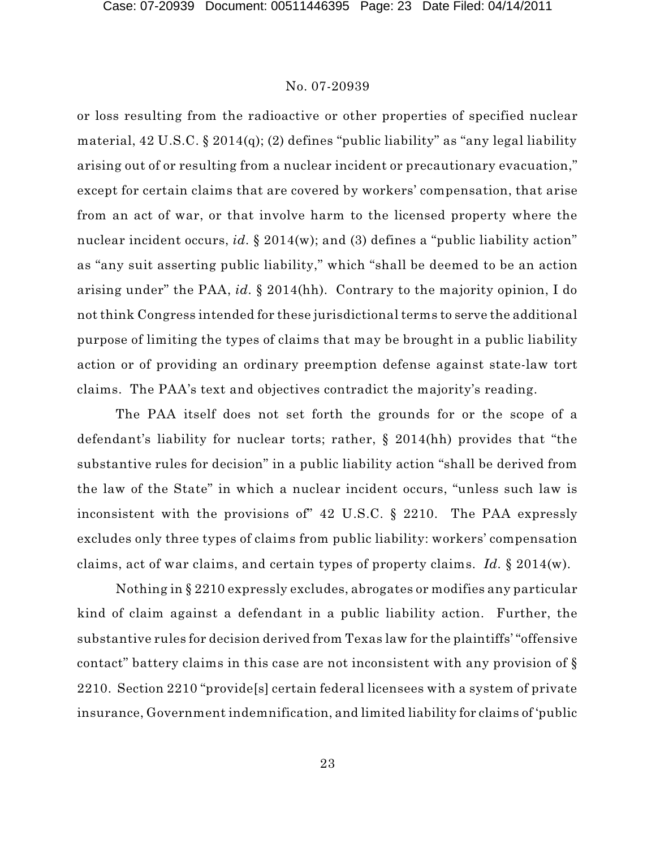or loss resulting from the radioactive or other properties of specified nuclear material, 42 U.S.C. § 2014(q); (2) defines "public liability" as "any legal liability arising out of or resulting from a nuclear incident or precautionary evacuation," except for certain claims that are covered by workers' compensation, that arise from an act of war, or that involve harm to the licensed property where the nuclear incident occurs, *id.* § 2014(w); and (3) defines a "public liability action" as "any suit asserting public liability," which "shall be deemed to be an action arising under" the PAA, *id.* § 2014(hh). Contrary to the majority opinion, I do not think Congress intended for these jurisdictional terms to serve the additional purpose of limiting the types of claims that may be brought in a public liability action or of providing an ordinary preemption defense against state-law tort claims. The PAA's text and objectives contradict the majority's reading.

The PAA itself does not set forth the grounds for or the scope of a defendant's liability for nuclear torts; rather, § 2014(hh) provides that "the substantive rules for decision" in a public liability action "shall be derived from the law of the State" in which a nuclear incident occurs, "unless such law is inconsistent with the provisions of" 42 U.S.C. § 2210. The PAA expressly excludes only three types of claims from public liability: workers' compensation claims, act of war claims, and certain types of property claims. *Id.* § 2014(w).

Nothing in § 2210 expressly excludes, abrogates or modifies any particular kind of claim against a defendant in a public liability action. Further, the substantive rules for decision derived from Texas law for the plaintiffs' "offensive contact" battery claims in this case are not inconsistent with any provision of § 2210. Section 2210 "provide[s] certain federal licensees with a system of private insurance, Government indemnification, and limited liability for claims of 'public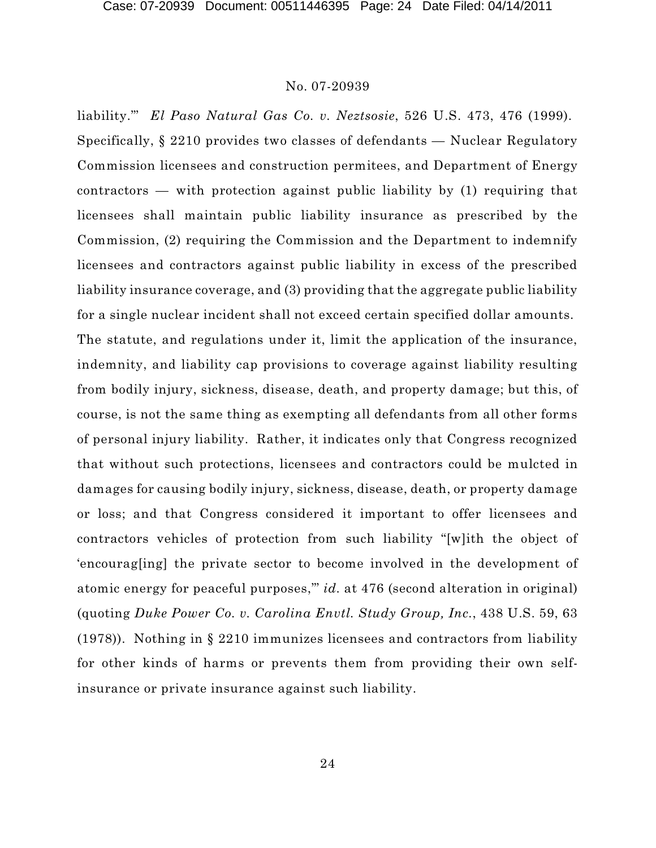liability.'" *El Paso Natural Gas Co. v. Neztsosie*, 526 U.S. 473, 476 (1999). Specifically, § 2210 provides two classes of defendants — Nuclear Regulatory Commission licensees and construction permitees, and Department of Energy contractors — with protection against public liability by (1) requiring that licensees shall maintain public liability insurance as prescribed by the Commission, (2) requiring the Commission and the Department to indemnify licensees and contractors against public liability in excess of the prescribed liability insurance coverage, and (3) providing that the aggregate public liability for a single nuclear incident shall not exceed certain specified dollar amounts. The statute, and regulations under it, limit the application of the insurance, indemnity, and liability cap provisions to coverage against liability resulting from bodily injury, sickness, disease, death, and property damage; but this, of course, is not the same thing as exempting all defendants from all other forms of personal injury liability. Rather, it indicates only that Congress recognized that without such protections, licensees and contractors could be mulcted in damages for causing bodily injury, sickness, disease, death, or property damage or loss; and that Congress considered it important to offer licensees and contractors vehicles of protection from such liability "[w]ith the object of 'encourag[ing] the private sector to become involved in the development of atomic energy for peaceful purposes,'" *id.* at 476 (second alteration in original) (quoting *Duke Power Co. v. Carolina Envtl. Study Group, Inc.*, 438 U.S. 59, 63 (1978)). Nothing in § 2210 immunizes licensees and contractors from liability for other kinds of harms or prevents them from providing their own selfinsurance or private insurance against such liability.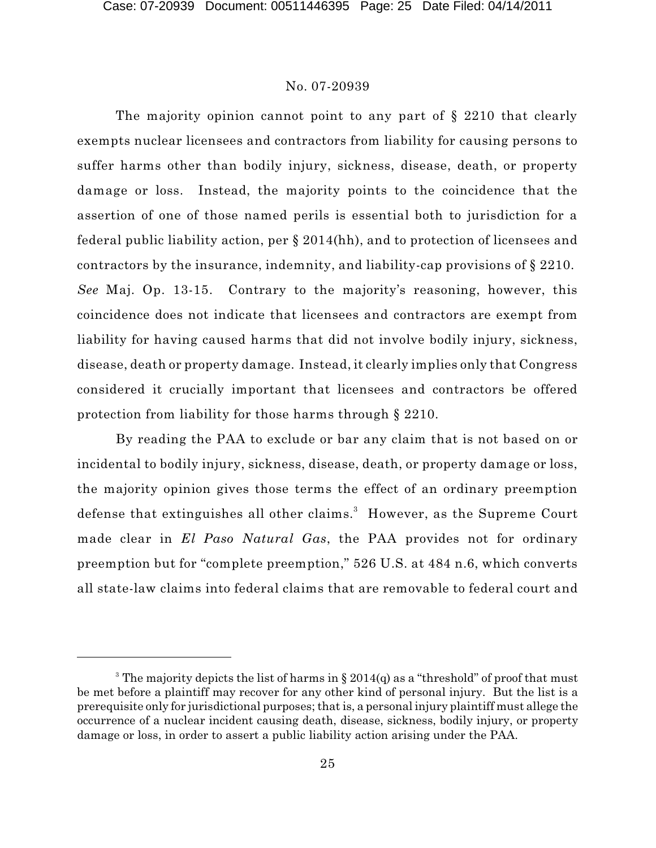The majority opinion cannot point to any part of § 2210 that clearly exempts nuclear licensees and contractors from liability for causing persons to suffer harms other than bodily injury, sickness, disease, death, or property damage or loss. Instead, the majority points to the coincidence that the assertion of one of those named perils is essential both to jurisdiction for a federal public liability action, per § 2014(hh), and to protection of licensees and contractors by the insurance, indemnity, and liability-cap provisions of § 2210. *See* Maj. Op. 13-15. Contrary to the majority's reasoning, however, this coincidence does not indicate that licensees and contractors are exempt from liability for having caused harms that did not involve bodily injury, sickness, disease, death or property damage. Instead, it clearly implies only that Congress considered it crucially important that licensees and contractors be offered protection from liability for those harms through § 2210.

By reading the PAA to exclude or bar any claim that is not based on or incidental to bodily injury, sickness, disease, death, or property damage or loss, the majority opinion gives those terms the effect of an ordinary preemption defense that extinguishes all other claims.<sup>3</sup> However, as the Supreme Court made clear in *El Paso Natural Gas*, the PAA provides not for ordinary preemption but for "complete preemption," 526 U.S. at 484 n.6, which converts all state-law claims into federal claims that are removable to federal court and

<sup>&</sup>lt;sup>3</sup> The majority depicts the list of harms in § 2014(q) as a "threshold" of proof that must be met before a plaintiff may recover for any other kind of personal injury. But the list is a prerequisite only for jurisdictional purposes; that is, a personal injury plaintiff must allege the occurrence of a nuclear incident causing death, disease, sickness, bodily injury, or property damage or loss, in order to assert a public liability action arising under the PAA.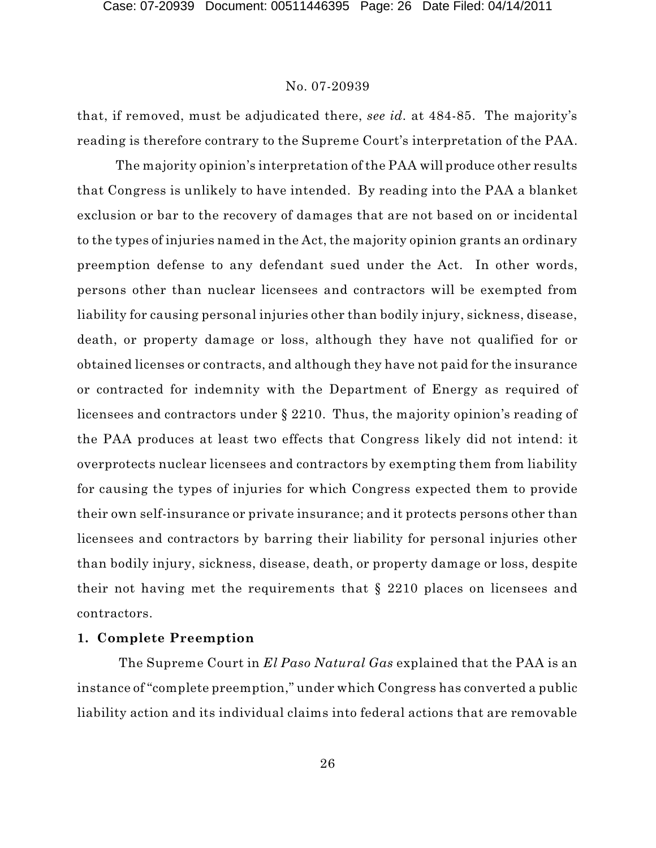that, if removed, must be adjudicated there, *see id.* at 484-85. The majority's reading is therefore contrary to the Supreme Court's interpretation of the PAA.

The majority opinion's interpretation of the PAA will produce other results that Congress is unlikely to have intended. By reading into the PAA a blanket exclusion or bar to the recovery of damages that are not based on or incidental to the types of injuries named in the Act, the majority opinion grants an ordinary preemption defense to any defendant sued under the Act. In other words, persons other than nuclear licensees and contractors will be exempted from liability for causing personal injuries other than bodily injury, sickness, disease, death, or property damage or loss, although they have not qualified for or obtained licenses or contracts, and although they have not paid for the insurance or contracted for indemnity with the Department of Energy as required of licensees and contractors under § 2210. Thus, the majority opinion's reading of the PAA produces at least two effects that Congress likely did not intend: it overprotects nuclear licensees and contractors by exempting them from liability for causing the types of injuries for which Congress expected them to provide their own self-insurance or private insurance; and it protects persons other than licensees and contractors by barring their liability for personal injuries other than bodily injury, sickness, disease, death, or property damage or loss, despite their not having met the requirements that § 2210 places on licensees and contractors.

# **1. Complete Preemption**

The Supreme Court in *El Paso Natural Gas* explained that the PAA is an instance of "complete preemption," under which Congress has converted a public liability action and its individual claims into federal actions that are removable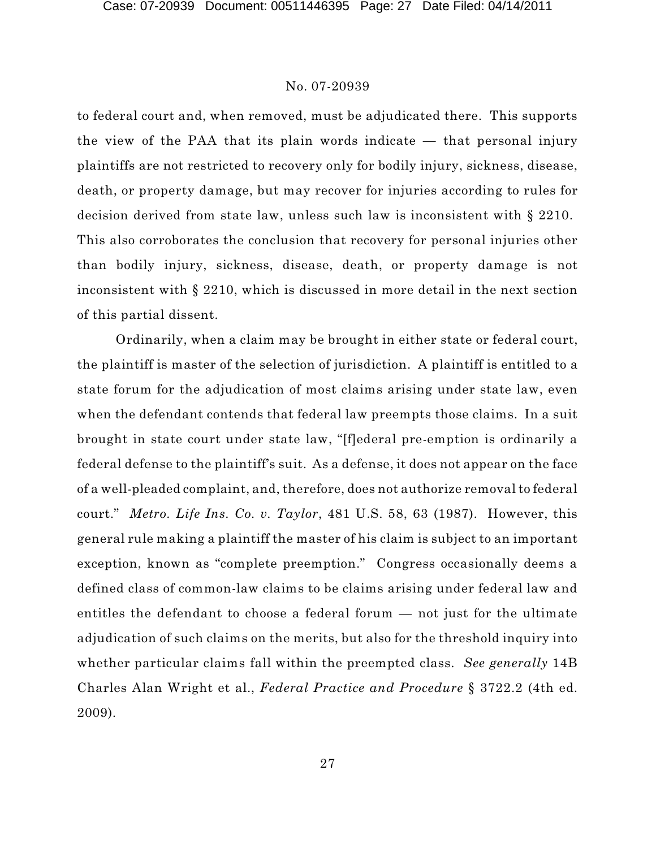to federal court and, when removed, must be adjudicated there. This supports the view of the PAA that its plain words indicate — that personal injury plaintiffs are not restricted to recovery only for bodily injury, sickness, disease, death, or property damage, but may recover for injuries according to rules for decision derived from state law, unless such law is inconsistent with § 2210. This also corroborates the conclusion that recovery for personal injuries other than bodily injury, sickness, disease, death, or property damage is not inconsistent with § 2210, which is discussed in more detail in the next section of this partial dissent.

Ordinarily, when a claim may be brought in either state or federal court, the plaintiff is master of the selection of jurisdiction. A plaintiff is entitled to a state forum for the adjudication of most claims arising under state law, even when the defendant contends that federal law preempts those claims. In a suit brought in state court under state law, "[f]ederal pre-emption is ordinarily a federal defense to the plaintiff's suit. As a defense, it does not appear on the face of a well-pleaded complaint, and, therefore, does not authorize removal to federal court." *Metro. Life Ins. Co. v. Taylor*, 481 U.S. 58, 63 (1987). However, this general rule making a plaintiff the master of his claim is subject to an important exception, known as "complete preemption." Congress occasionally deems a defined class of common-law claims to be claims arising under federal law and entitles the defendant to choose a federal forum — not just for the ultimate adjudication of such claims on the merits, but also for the threshold inquiry into whether particular claims fall within the preempted class. *See generally* 14B Charles Alan Wright et al., *Federal Practice and Procedure* § 3722.2 (4th ed. 2009).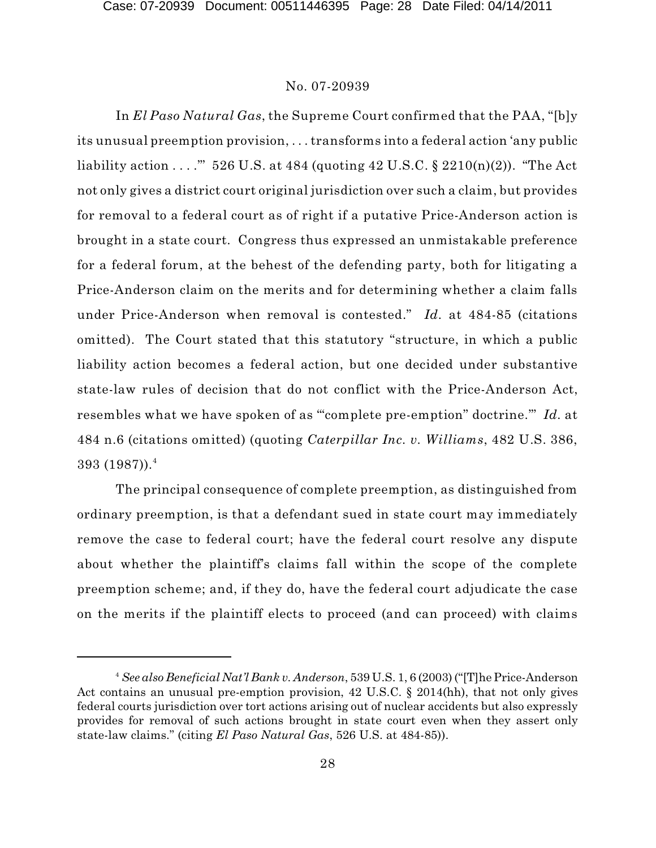In *El Paso Natural Gas*, the Supreme Court confirmed that the PAA, "[b]y its unusual preemption provision, . . . transforms into a federal action 'any public liability action  $\ldots$ ." 526 U.S. at 484 (quoting 42 U.S.C. § 2210(n)(2)). "The Act not only gives a district court original jurisdiction over such a claim, but provides for removal to a federal court as of right if a putative Price-Anderson action is brought in a state court. Congress thus expressed an unmistakable preference for a federal forum, at the behest of the defending party, both for litigating a Price-Anderson claim on the merits and for determining whether a claim falls under Price-Anderson when removal is contested." *Id.* at 484-85 (citations omitted). The Court stated that this statutory "structure, in which a public liability action becomes a federal action, but one decided under substantive state-law rules of decision that do not conflict with the Price-Anderson Act, resembles what we have spoken of as '"complete pre-emption" doctrine.'" *Id.* at 484 n.6 (citations omitted) (quoting *Caterpillar Inc. v. Williams*, 482 U.S. 386,  $393~(1987))$ . $^4$ 

The principal consequence of complete preemption, as distinguished from ordinary preemption, is that a defendant sued in state court may immediately remove the case to federal court; have the federal court resolve any dispute about whether the plaintiff's claims fall within the scope of the complete preemption scheme; and, if they do, have the federal court adjudicate the case on the merits if the plaintiff elects to proceed (and can proceed) with claims

*See also Beneficial Nat'l Bank v. Anderson*, 539 U.S. 1, 6 (2003) ("[T]he Price-Anderson <sup>4</sup> Act contains an unusual pre-emption provision, 42 U.S.C. § 2014(hh), that not only gives federal courts jurisdiction over tort actions arising out of nuclear accidents but also expressly provides for removal of such actions brought in state court even when they assert only state-law claims." (citing *El Paso Natural Gas*, 526 U.S. at 484-85)).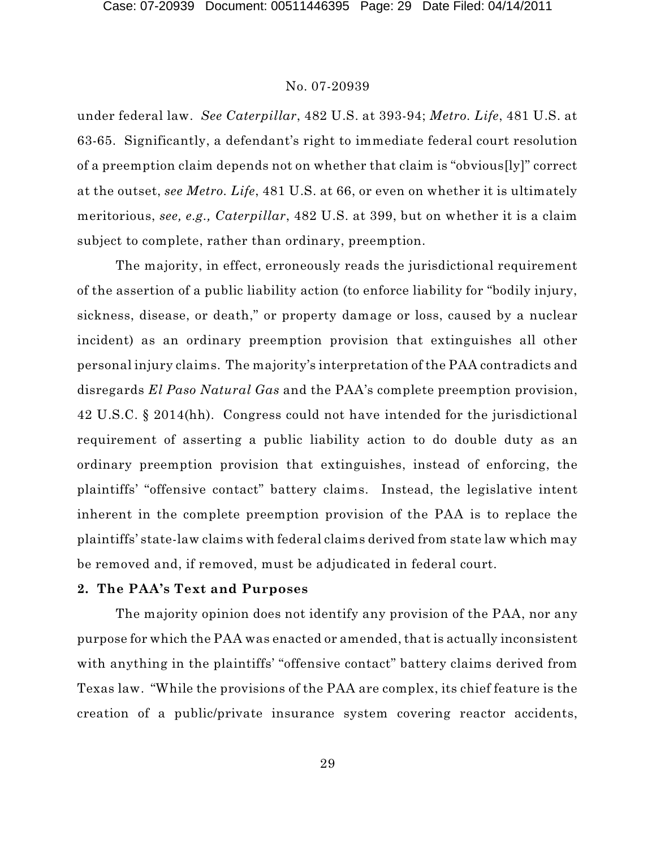under federal law. *See Caterpillar*, 482 U.S. at 393-94; *Metro. Life*, 481 U.S. at 63-65. Significantly, a defendant's right to immediate federal court resolution of a preemption claim depends not on whether that claim is "obvious[ly]" correct at the outset, *see Metro. Life*, 481 U.S. at 66, or even on whether it is ultimately meritorious, *see, e.g., Caterpillar*, 482 U.S. at 399, but on whether it is a claim subject to complete, rather than ordinary, preemption.

The majority, in effect, erroneously reads the jurisdictional requirement of the assertion of a public liability action (to enforce liability for "bodily injury, sickness, disease, or death," or property damage or loss, caused by a nuclear incident) as an ordinary preemption provision that extinguishes all other personal injury claims. The majority's interpretation of the PAA contradicts and disregards *El Paso Natural Gas* and the PAA's complete preemption provision, 42 U.S.C. § 2014(hh). Congress could not have intended for the jurisdictional requirement of asserting a public liability action to do double duty as an ordinary preemption provision that extinguishes, instead of enforcing, the plaintiffs' "offensive contact" battery claims. Instead, the legislative intent inherent in the complete preemption provision of the PAA is to replace the plaintiffs' state-law claims with federal claims derived from state law which may be removed and, if removed, must be adjudicated in federal court.

# **2. The PAA's Text and Purposes**

The majority opinion does not identify any provision of the PAA, nor any purpose for which the PAA was enacted or amended, that is actually inconsistent with anything in the plaintiffs' "offensive contact" battery claims derived from Texas law. "While the provisions of the PAA are complex, its chief feature is the creation of a public/private insurance system covering reactor accidents,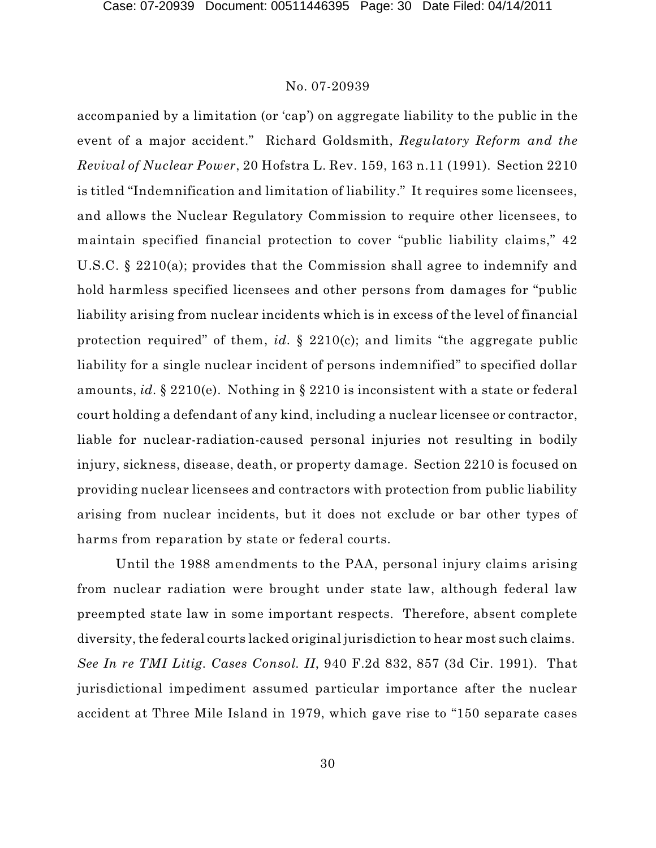accompanied by a limitation (or 'cap') on aggregate liability to the public in the event of a major accident." Richard Goldsmith, *Regulatory Reform and the Revival of Nuclear Power*, 20 Hofstra L. Rev. 159, 163 n.11 (1991). Section 2210 is titled "Indemnification and limitation of liability." It requires some licensees, and allows the Nuclear Regulatory Commission to require other licensees, to maintain specified financial protection to cover "public liability claims," 42 U.S.C. § 2210(a); provides that the Commission shall agree to indemnify and hold harmless specified licensees and other persons from damages for "public liability arising from nuclear incidents which is in excess of the level of financial protection required" of them, *id.* § 2210(c); and limits "the aggregate public liability for a single nuclear incident of persons indemnified" to specified dollar amounts, *id.* § 2210(e). Nothing in § 2210 is inconsistent with a state or federal court holding a defendant of any kind, including a nuclear licensee or contractor, liable for nuclear-radiation-caused personal injuries not resulting in bodily injury, sickness, disease, death, or property damage. Section 2210 is focused on providing nuclear licensees and contractors with protection from public liability arising from nuclear incidents, but it does not exclude or bar other types of harms from reparation by state or federal courts.

Until the 1988 amendments to the PAA, personal injury claims arising from nuclear radiation were brought under state law, although federal law preempted state law in some important respects. Therefore, absent complete diversity, the federal courts lacked original jurisdiction to hear most such claims. *See In re TMI Litig. Cases Consol. II*, 940 F.2d 832, 857 (3d Cir. 1991). That jurisdictional impediment assumed particular importance after the nuclear accident at Three Mile Island in 1979, which gave rise to "150 separate cases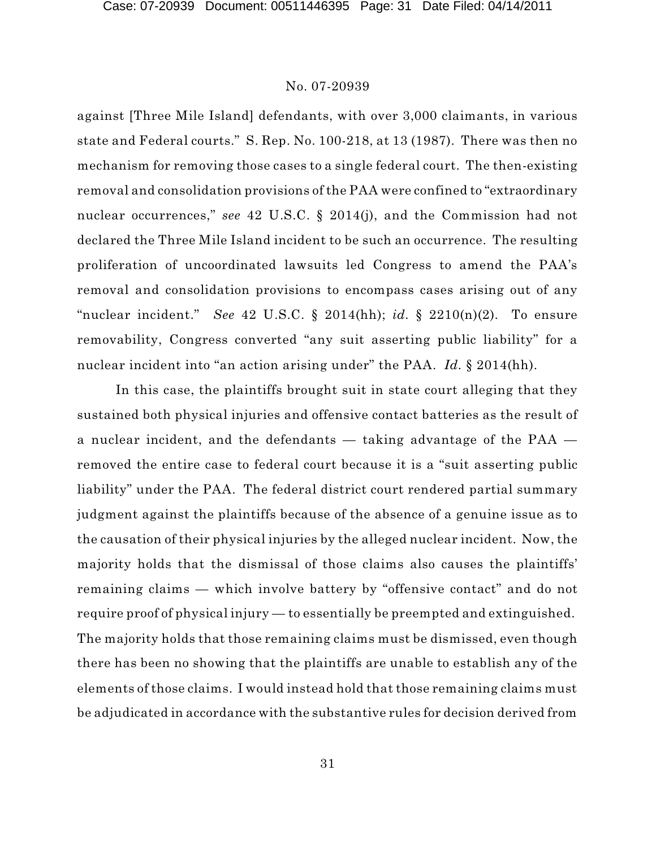against [Three Mile Island] defendants, with over 3,000 claimants, in various state and Federal courts." S. Rep. No. 100-218, at 13 (1987). There was then no mechanism for removing those cases to a single federal court. The then-existing removal and consolidation provisions of the PAA were confined to "extraordinary nuclear occurrences," *see* 42 U.S.C. § 2014(j), and the Commission had not declared the Three Mile Island incident to be such an occurrence. The resulting proliferation of uncoordinated lawsuits led Congress to amend the PAA's removal and consolidation provisions to encompass cases arising out of any "nuclear incident." *See* 42 U.S.C. § 2014(hh); *id.* § 2210(n)(2). To ensure removability, Congress converted "any suit asserting public liability" for a nuclear incident into "an action arising under" the PAA. *Id.* § 2014(hh).

In this case, the plaintiffs brought suit in state court alleging that they sustained both physical injuries and offensive contact batteries as the result of a nuclear incident, and the defendants — taking advantage of the PAA removed the entire case to federal court because it is a "suit asserting public liability" under the PAA. The federal district court rendered partial summary judgment against the plaintiffs because of the absence of a genuine issue as to the causation of their physical injuries by the alleged nuclear incident. Now, the majority holds that the dismissal of those claims also causes the plaintiffs' remaining claims — which involve battery by "offensive contact" and do not require proof of physical injury — to essentially be preempted and extinguished. The majority holds that those remaining claims must be dismissed, even though there has been no showing that the plaintiffs are unable to establish any of the elements of those claims. I would instead hold that those remaining claims must be adjudicated in accordance with the substantive rules for decision derived from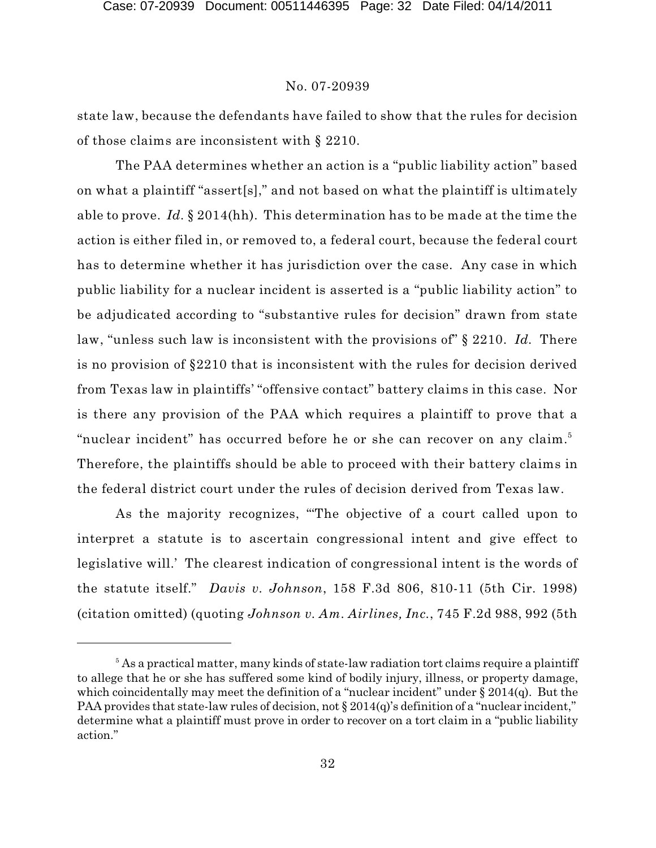state law, because the defendants have failed to show that the rules for decision of those claims are inconsistent with § 2210.

The PAA determines whether an action is a "public liability action" based on what a plaintiff "assert[s]," and not based on what the plaintiff is ultimately able to prove. *Id.* § 2014(hh). This determination has to be made at the time the action is either filed in, or removed to, a federal court, because the federal court has to determine whether it has jurisdiction over the case. Any case in which public liability for a nuclear incident is asserted is a "public liability action" to be adjudicated according to "substantive rules for decision" drawn from state law, "unless such law is inconsistent with the provisions of" § 2210. *Id.* There is no provision of §2210 that is inconsistent with the rules for decision derived from Texas law in plaintiffs' "offensive contact" battery claims in this case. Nor is there any provision of the PAA which requires a plaintiff to prove that a "nuclear incident" has occurred before he or she can recover on any claim.<sup>5</sup> Therefore, the plaintiffs should be able to proceed with their battery claims in the federal district court under the rules of decision derived from Texas law.

As the majority recognizes, "'The objective of a court called upon to interpret a statute is to ascertain congressional intent and give effect to legislative will.' The clearest indication of congressional intent is the words of the statute itself." *Davis v. Johnson*, 158 F.3d 806, 810-11 (5th Cir. 1998) (citation omitted) (quoting *Johnson v. Am. Airlines, Inc.*, 745 F.2d 988, 992 (5th

 $5$  As a practical matter, many kinds of state-law radiation tort claims require a plaintiff to allege that he or she has suffered some kind of bodily injury, illness, or property damage, which coincidentally may meet the definition of a "nuclear incident" under  $\S 2014(q)$ . But the PAA provides that state-law rules of decision, not § 2014(q)'s definition of a "nuclear incident," determine what a plaintiff must prove in order to recover on a tort claim in a "public liability action."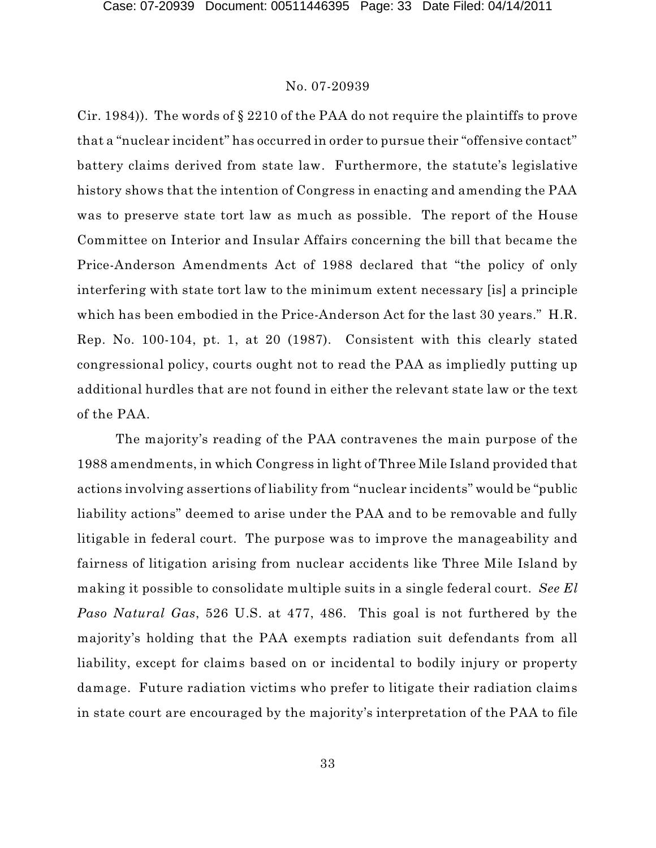Cir. 1984)). The words of § 2210 of the PAA do not require the plaintiffs to prove that a "nuclear incident" has occurred in order to pursue their "offensive contact" battery claims derived from state law. Furthermore, the statute's legislative history shows that the intention of Congress in enacting and amending the PAA was to preserve state tort law as much as possible. The report of the House Committee on Interior and Insular Affairs concerning the bill that became the Price-Anderson Amendments Act of 1988 declared that "the policy of only interfering with state tort law to the minimum extent necessary [is] a principle which has been embodied in the Price-Anderson Act for the last 30 years." H.R. Rep. No. 100-104, pt. 1, at 20 (1987). Consistent with this clearly stated congressional policy, courts ought not to read the PAA as impliedly putting up additional hurdles that are not found in either the relevant state law or the text of the PAA.

The majority's reading of the PAA contravenes the main purpose of the 1988 amendments, in which Congress in light of Three Mile Island provided that actions involving assertions of liability from "nuclear incidents" would be "public liability actions" deemed to arise under the PAA and to be removable and fully litigable in federal court. The purpose was to improve the manageability and fairness of litigation arising from nuclear accidents like Three Mile Island by making it possible to consolidate multiple suits in a single federal court. *See El Paso Natural Gas*, 526 U.S. at 477, 486. This goal is not furthered by the majority's holding that the PAA exempts radiation suit defendants from all liability, except for claims based on or incidental to bodily injury or property damage. Future radiation victims who prefer to litigate their radiation claims in state court are encouraged by the majority's interpretation of the PAA to file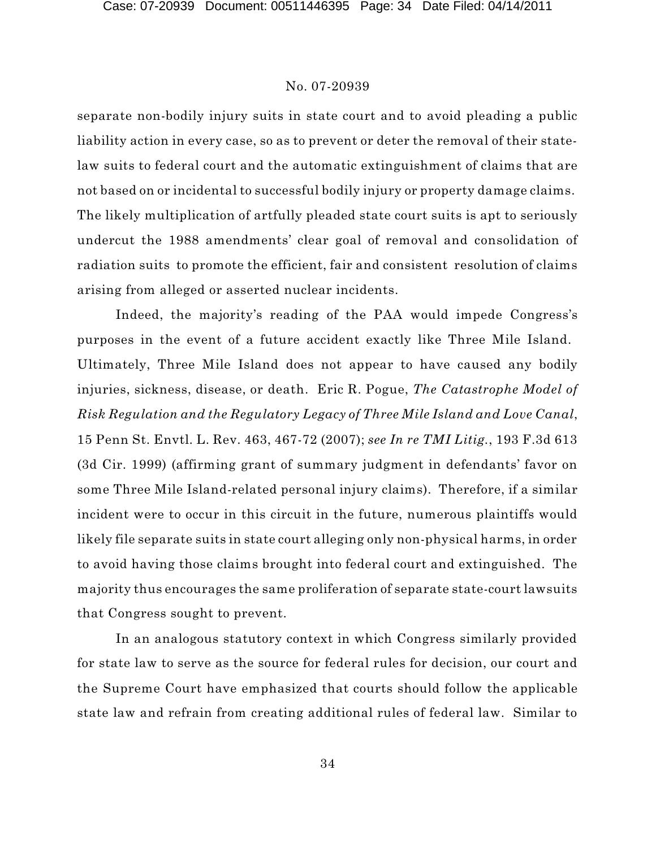separate non-bodily injury suits in state court and to avoid pleading a public liability action in every case, so as to prevent or deter the removal of their statelaw suits to federal court and the automatic extinguishment of claims that are not based on or incidental to successful bodily injury or property damage claims. The likely multiplication of artfully pleaded state court suits is apt to seriously undercut the 1988 amendments' clear goal of removal and consolidation of radiation suits to promote the efficient, fair and consistent resolution of claims arising from alleged or asserted nuclear incidents.

Indeed, the majority's reading of the PAA would impede Congress's purposes in the event of a future accident exactly like Three Mile Island. Ultimately, Three Mile Island does not appear to have caused any bodily injuries, sickness, disease, or death. Eric R. Pogue, *The Catastrophe Model of Risk Regulation and the Regulatory Legacy of Three Mile Island and Love Canal*, 15 Penn St. Envtl. L. Rev. 463, 467-72 (2007); *see In re TMI Litig.*, 193 F.3d 613 (3d Cir. 1999) (affirming grant of summary judgment in defendants' favor on some Three Mile Island-related personal injury claims). Therefore, if a similar incident were to occur in this circuit in the future, numerous plaintiffs would likely file separate suits in state court alleging only non-physical harms, in order to avoid having those claims brought into federal court and extinguished. The majority thus encourages the same proliferation of separate state-court lawsuits that Congress sought to prevent.

In an analogous statutory context in which Congress similarly provided for state law to serve as the source for federal rules for decision, our court and the Supreme Court have emphasized that courts should follow the applicable state law and refrain from creating additional rules of federal law. Similar to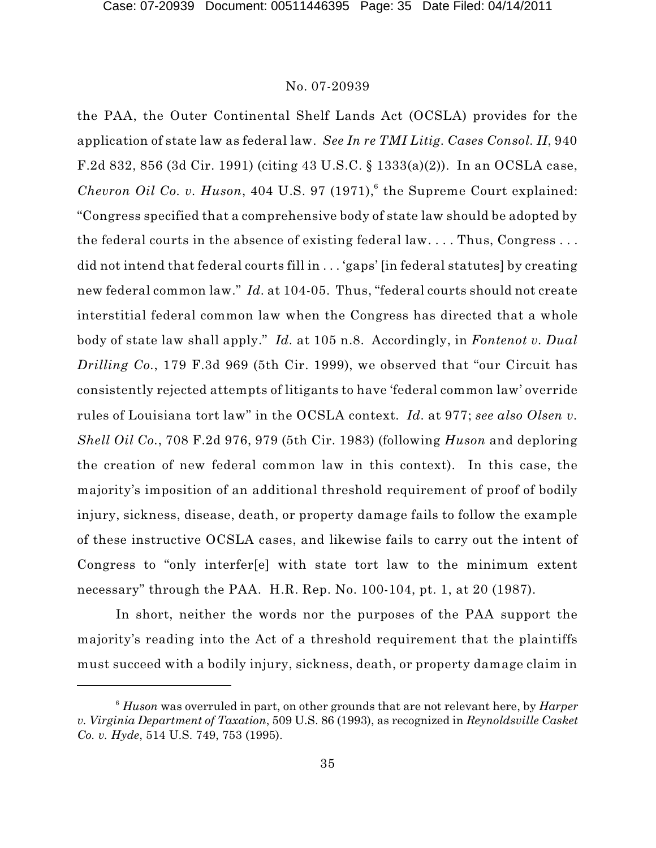the PAA, the Outer Continental Shelf Lands Act (OCSLA) provides for the application of state law as federal law. *See In re TMI Litig. Cases Consol. II*, 940 F.2d 832, 856 (3d Cir. 1991) (citing 43 U.S.C. § 1333(a)(2)). In an OCSLA case, *Chevron Oil Co. v. Huson,* 404 U.S. 97  $(1971)^6$  the Supreme Court explained: "Congress specified that a comprehensive body of state law should be adopted by the federal courts in the absence of existing federal law. . . . Thus, Congress . . . did not intend that federal courts fill in . . . 'gaps' [in federal statutes] by creating new federal common law." *Id.* at 104-05. Thus, "federal courts should not create interstitial federal common law when the Congress has directed that a whole body of state law shall apply." *Id.* at 105 n.8. Accordingly, in *Fontenot v. Dual Drilling Co.*, 179 F.3d 969 (5th Cir. 1999), we observed that "our Circuit has consistently rejected attempts of litigants to have 'federal common law' override rules of Louisiana tort law" in the OCSLA context. *Id.* at 977; *see also Olsen v. Shell Oil Co.*, 708 F.2d 976, 979 (5th Cir. 1983) (following *Huson* and deploring the creation of new federal common law in this context). In this case, the majority's imposition of an additional threshold requirement of proof of bodily injury, sickness, disease, death, or property damage fails to follow the example of these instructive OCSLA cases, and likewise fails to carry out the intent of Congress to "only interfer[e] with state tort law to the minimum extent necessary" through the PAA. H.R. Rep. No. 100-104, pt. 1, at 20 (1987).

In short, neither the words nor the purposes of the PAA support the majority's reading into the Act of a threshold requirement that the plaintiffs must succeed with a bodily injury, sickness, death, or property damage claim in

*Huson* was overruled in part, on other grounds that are not relevant here, by *Harper* <sup>6</sup> *v. Virginia Department of Taxation*, 509 U.S. 86 (1993), as recognized in *Reynoldsville Casket Co. v. Hyde*, 514 U.S. 749, 753 (1995).